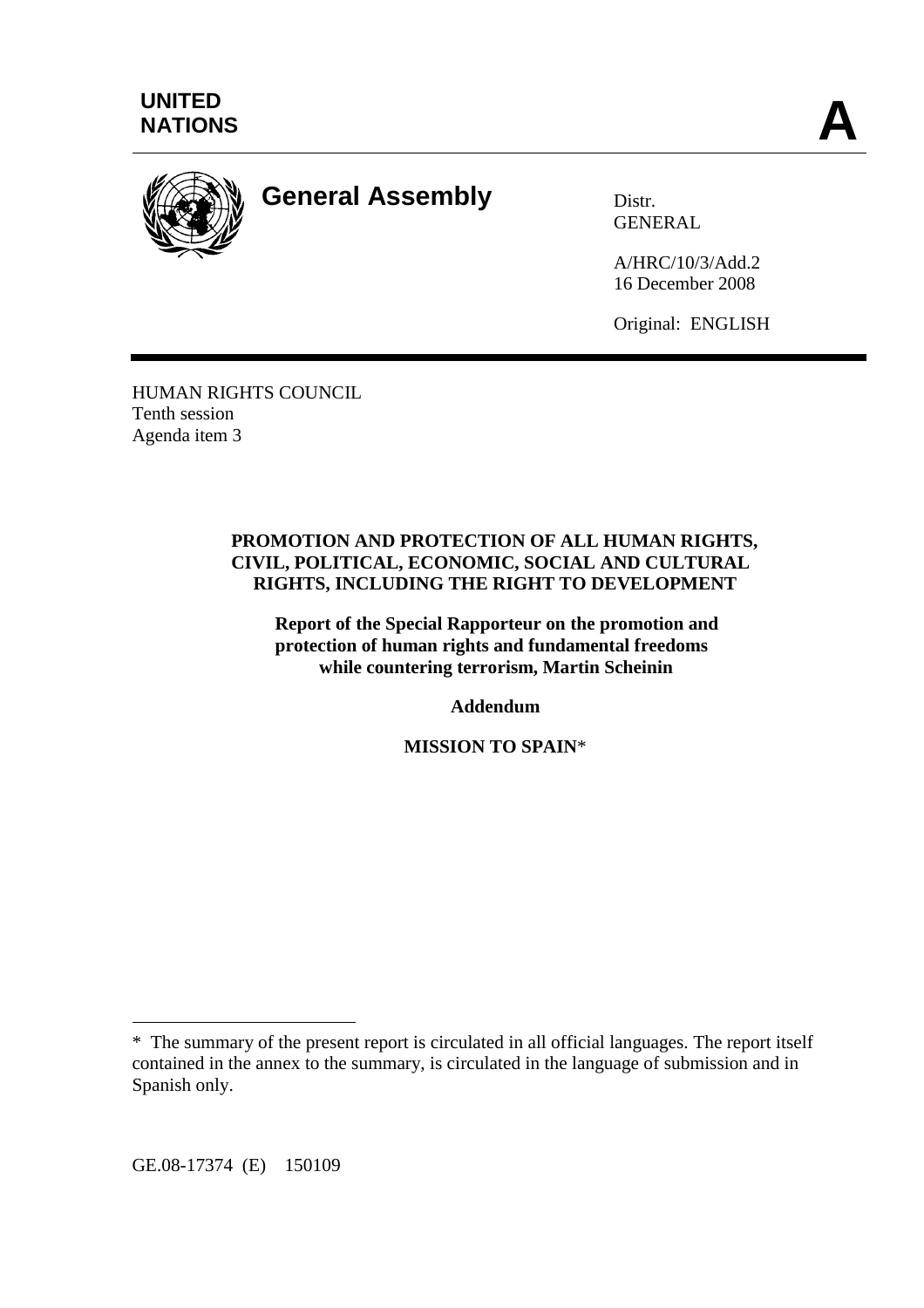



**General Assembly** Distr.

**GENERAL** 

A/HRC/10/3/Add.2 16 December 2008

Original: ENGLISH

HUMAN RIGHTS COUNCIL Tenth session Agenda item 3

#### **PROMOTION AND PROTECTION OF ALL HUMAN RIGHTS, CIVIL, POLITICAL, ECONOMIC, SOCIAL AND CULTURAL RIGHTS, INCLUDING THE RIGHT TO DEVELOPMENT**

**Report of the Special Rapporteur on the promotion and protection of human rights and fundamental freedoms while countering terrorism, Martin Scheinin** 

**Addendum** 

**MISSION TO SPAIN**\*

GE.08-17374 (E) 150109

 $\overline{a}$ 

<sup>\*</sup> The summary of the present report is circulated in all official languages. The report itself contained in the annex to the summary, is circulated in the language of submission and in Spanish only.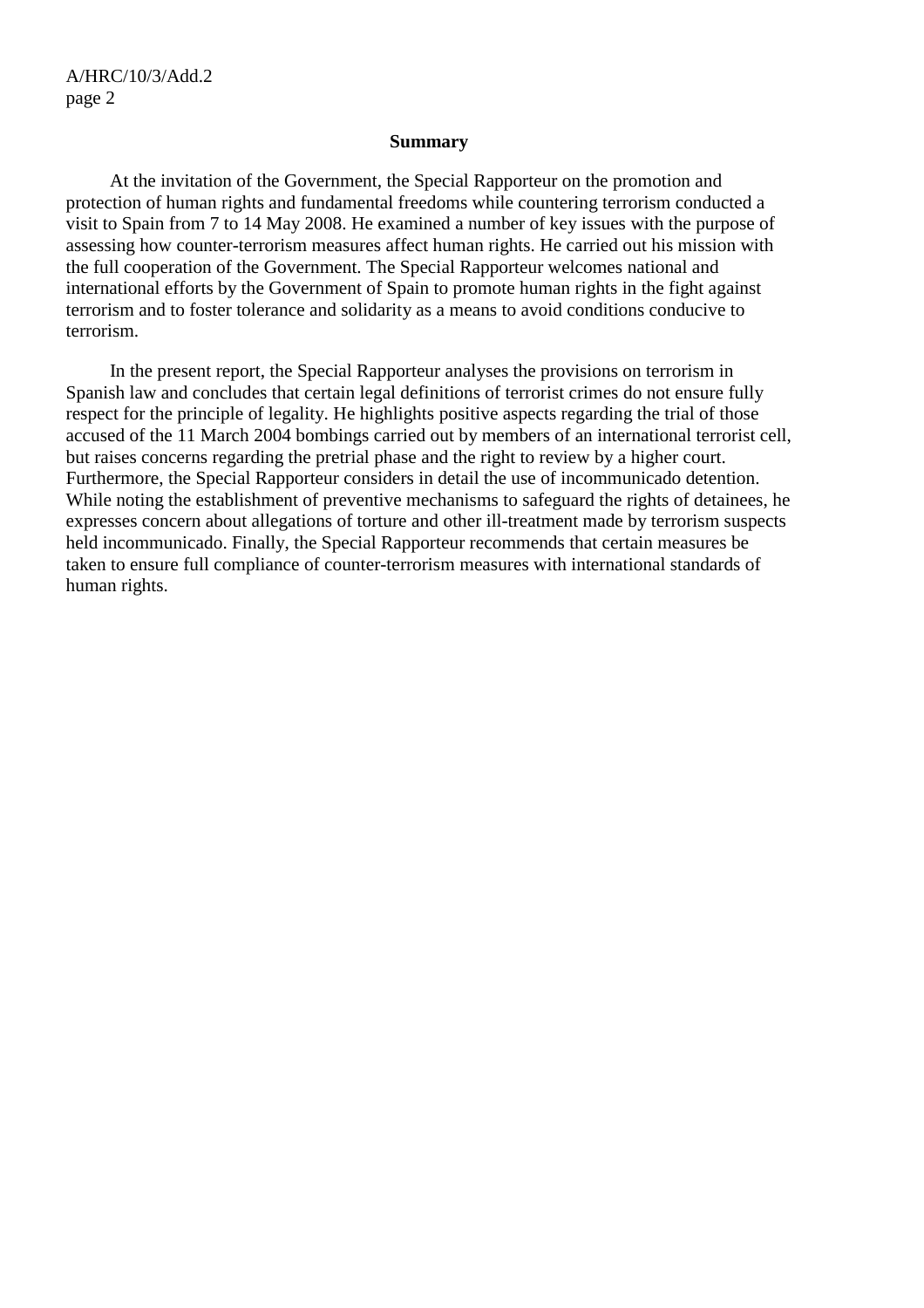#### **Summary**

 At the invitation of the Government, the Special Rapporteur on the promotion and protection of human rights and fundamental freedoms while countering terrorism conducted a visit to Spain from 7 to 14 May 2008. He examined a number of key issues with the purpose of assessing how counter-terrorism measures affect human rights. He carried out his mission with the full cooperation of the Government. The Special Rapporteur welcomes national and international efforts by the Government of Spain to promote human rights in the fight against terrorism and to foster tolerance and solidarity as a means to avoid conditions conducive to terrorism.

 In the present report, the Special Rapporteur analyses the provisions on terrorism in Spanish law and concludes that certain legal definitions of terrorist crimes do not ensure fully respect for the principle of legality. He highlights positive aspects regarding the trial of those accused of the 11 March 2004 bombings carried out by members of an international terrorist cell, but raises concerns regarding the pretrial phase and the right to review by a higher court. Furthermore, the Special Rapporteur considers in detail the use of incommunicado detention. While noting the establishment of preventive mechanisms to safeguard the rights of detainees, he expresses concern about allegations of torture and other ill-treatment made by terrorism suspects held incommunicado. Finally, the Special Rapporteur recommends that certain measures be taken to ensure full compliance of counter-terrorism measures with international standards of human rights.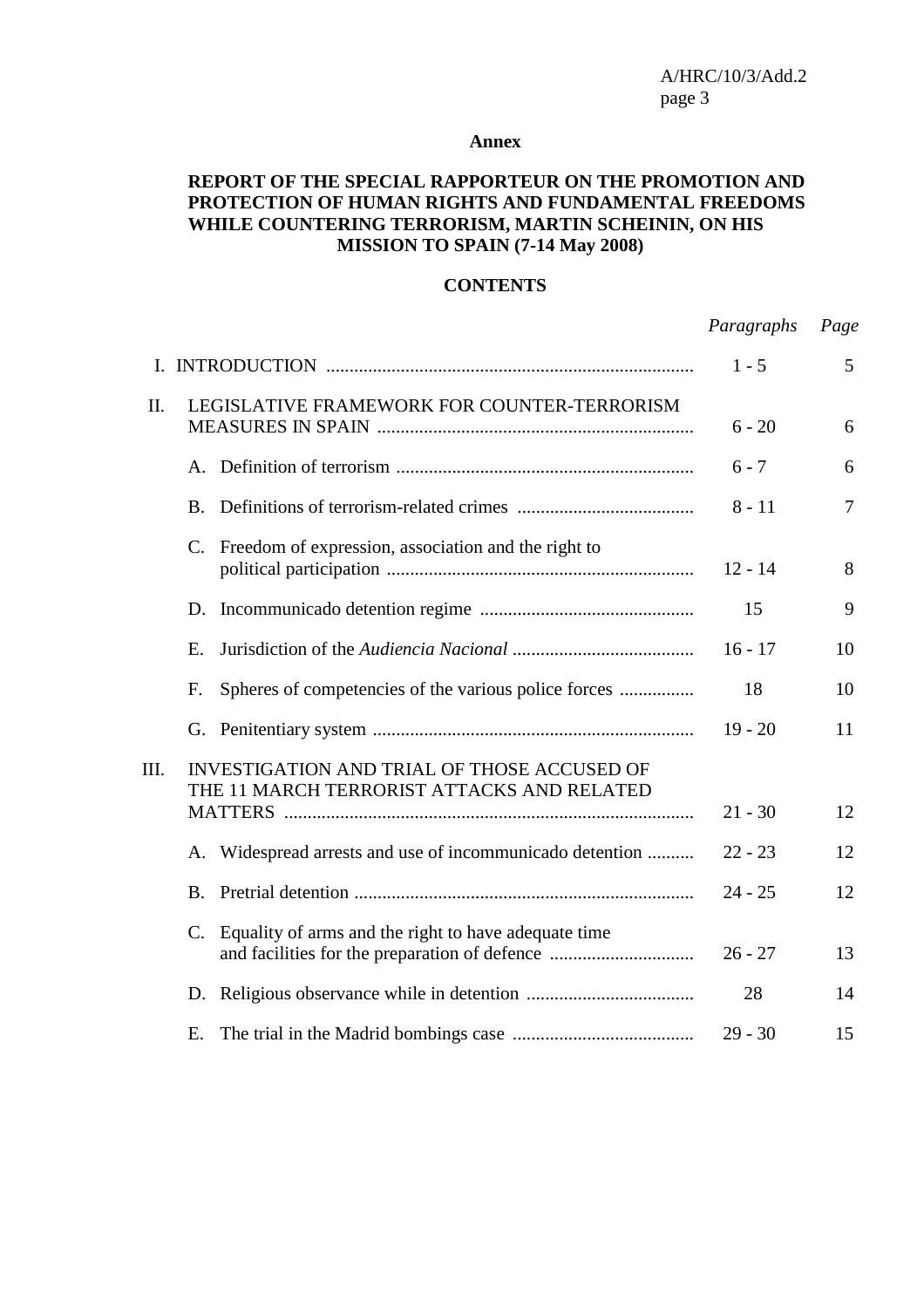#### **Annex**

### **REPORT OF THE SPECIAL RAPPORTEUR ON THE PROMOTION AND PROTECTION OF HUMAN RIGHTS AND FUNDAMENTAL FREEDOMS WHILE COUNTERING TERRORISM, MARTIN SCHEININ, ON HIS MISSION TO SPAIN (7-14 May 2008)**

#### **CONTENTS**

|      |                                                                                                  |         | Paragraphs | Page   |
|------|--------------------------------------------------------------------------------------------------|---------|------------|--------|
|      |                                                                                                  | $1 - 5$ | 5          |        |
| П.   | LEGISLATIVE FRAMEWORK FOR COUNTER-TERRORISM                                                      |         | $6 - 20$   | 6      |
|      |                                                                                                  |         | $6 - 7$    | 6      |
|      | <b>B.</b>                                                                                        |         | $8 - 11$   | $\tau$ |
|      | Freedom of expression, association and the right to<br>$\mathbf{C}$ .                            |         | $12 - 14$  | 8      |
|      |                                                                                                  |         | 15         | 9      |
|      | E.                                                                                               |         | $16 - 17$  | 10     |
|      | Spheres of competencies of the various police forces<br>F.                                       |         | 18         | 10     |
|      |                                                                                                  |         | $19 - 20$  | 11     |
| III. | <b>INVESTIGATION AND TRIAL OF THOSE ACCUSED OF</b><br>THE 11 MARCH TERRORIST ATTACKS AND RELATED |         | $21 - 30$  | 12     |
|      |                                                                                                  |         |            |        |
|      | Widespread arrests and use of incommunicado detention<br>А.                                      |         | $22 - 23$  | 12     |
|      | <b>B.</b>                                                                                        |         | $24 - 25$  | 12     |
|      | Equality of arms and the right to have adequate time<br>C.                                       |         | $26 - 27$  | 13     |
|      | D.                                                                                               |         | 28         | 14     |
|      | Е.                                                                                               |         | $29 - 30$  | 15     |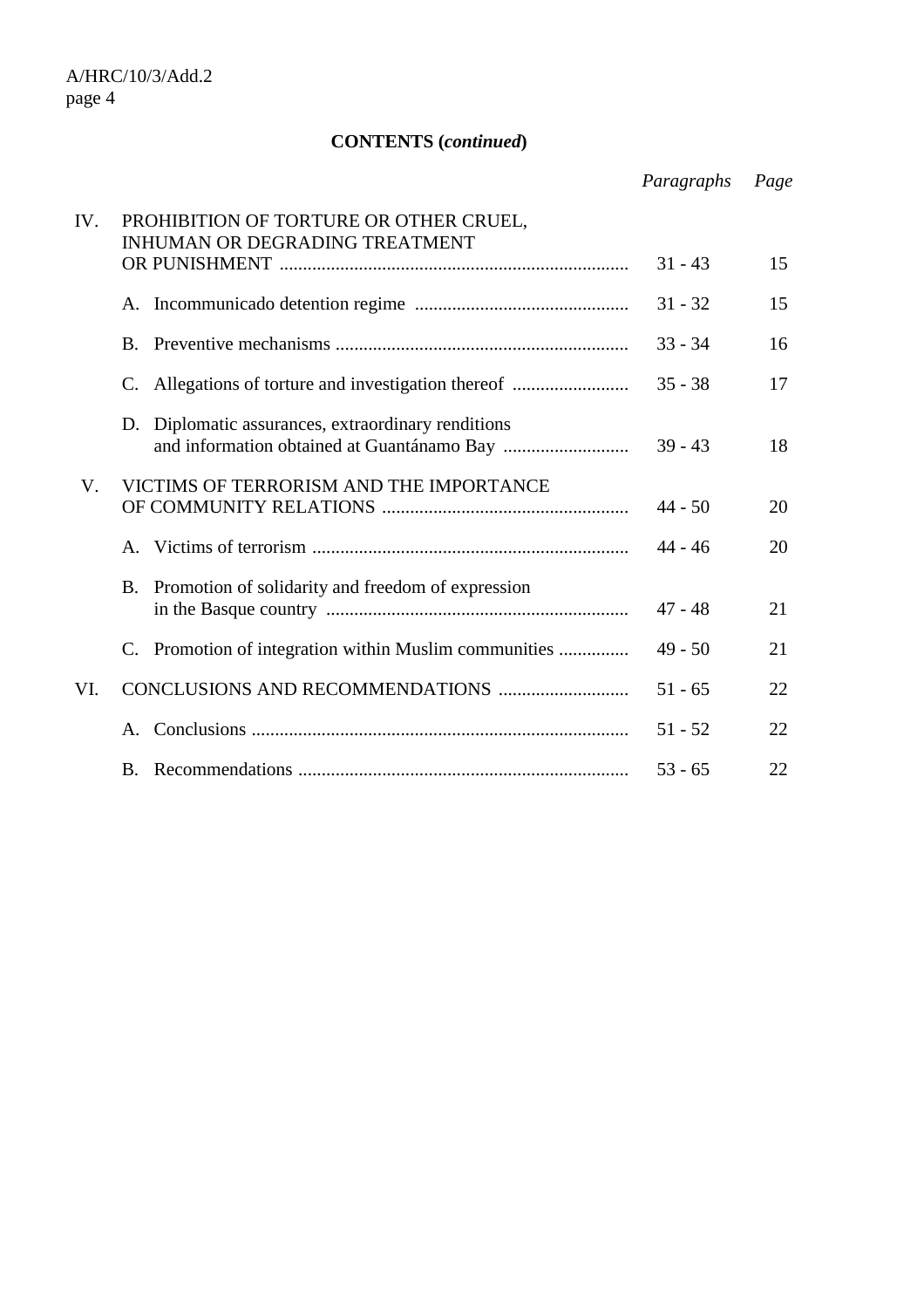# **CONTENTS (***continued***)**

|     |                                                                                 | Paragraphs | Page |
|-----|---------------------------------------------------------------------------------|------------|------|
| IV. | PROHIBITION OF TORTURE OR OTHER CRUEL,<br><b>INHUMAN OR DEGRADING TREATMENT</b> |            |      |
|     |                                                                                 | $31 - 43$  | 15   |
|     |                                                                                 | $31 - 32$  | 15   |
|     | $\mathbf{B}$ .                                                                  | $33 - 34$  | 16   |
|     | Allegations of torture and investigation thereof<br>C.                          | $35 - 38$  | 17   |
|     | Diplomatic assurances, extraordinary renditions<br>D.                           | $39 - 43$  | 18   |
| V.  | VICTIMS OF TERRORISM AND THE IMPORTANCE                                         | $44 - 50$  | 20   |
|     | $A_{-}$                                                                         | $44 - 46$  | 20   |
|     | Promotion of solidarity and freedom of expression<br>B.                         | $47 - 48$  | 21   |
|     | Promotion of integration within Muslim communities<br>$C_{\cdot}$               | $49 - 50$  | 21   |
| VI. |                                                                                 | $51 - 65$  | 22   |
|     | Α.                                                                              | $51 - 52$  | 22   |
|     |                                                                                 | $53 - 65$  | 22   |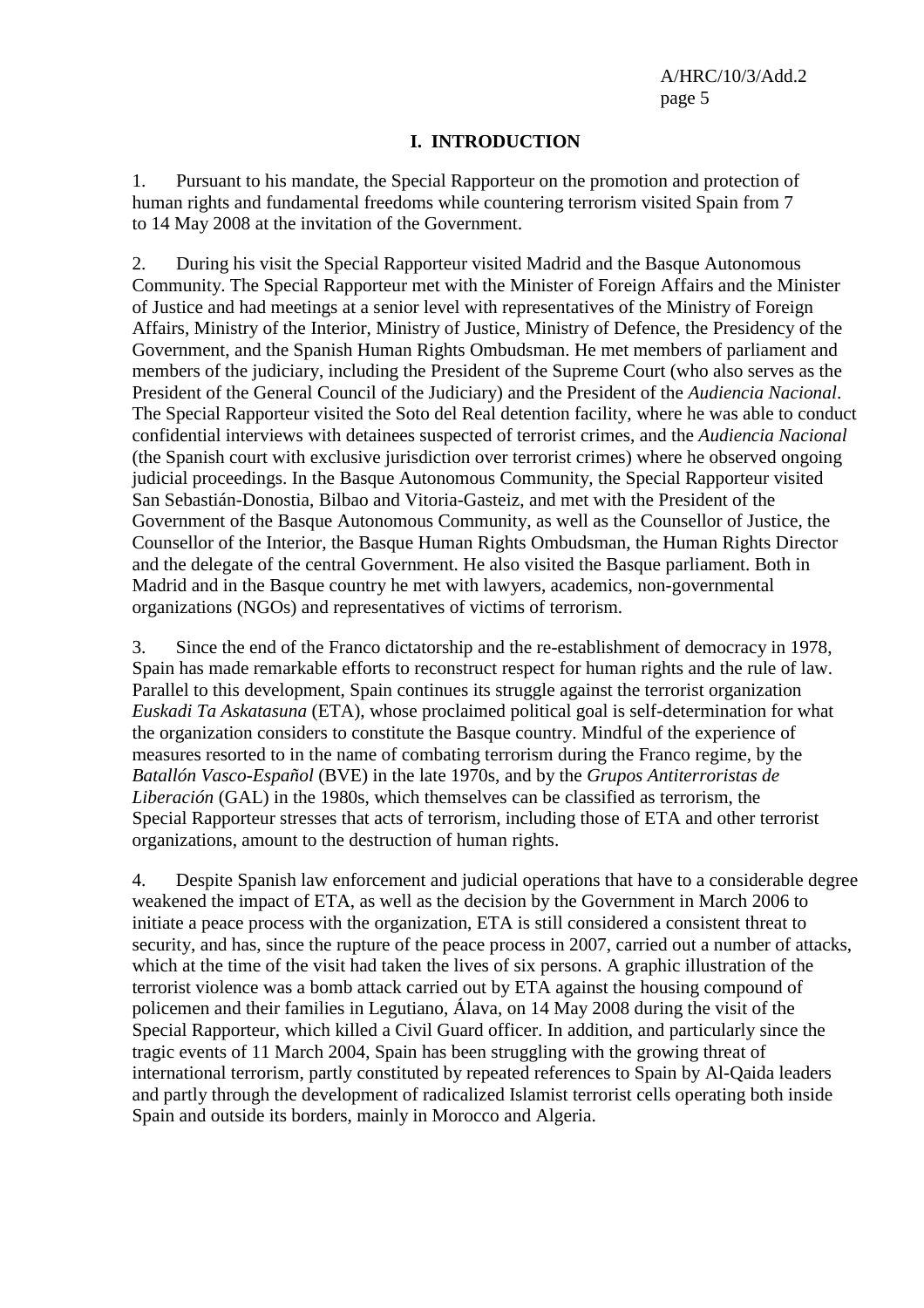#### **I. INTRODUCTION**

1. Pursuant to his mandate, the Special Rapporteur on the promotion and protection of human rights and fundamental freedoms while countering terrorism visited Spain from 7 to 14 May 2008 at the invitation of the Government.

2. During his visit the Special Rapporteur visited Madrid and the Basque Autonomous Community. The Special Rapporteur met with the Minister of Foreign Affairs and the Minister of Justice and had meetings at a senior level with representatives of the Ministry of Foreign Affairs, Ministry of the Interior, Ministry of Justice, Ministry of Defence, the Presidency of the Government, and the Spanish Human Rights Ombudsman. He met members of parliament and members of the judiciary, including the President of the Supreme Court (who also serves as the President of the General Council of the Judiciary) and the President of the *Audiencia Nacional*. The Special Rapporteur visited the Soto del Real detention facility, where he was able to conduct confidential interviews with detainees suspected of terrorist crimes, and the *Audiencia Nacional* (the Spanish court with exclusive jurisdiction over terrorist crimes) where he observed ongoing judicial proceedings. In the Basque Autonomous Community, the Special Rapporteur visited San Sebastián-Donostia, Bilbao and Vitoria-Gasteiz, and met with the President of the Government of the Basque Autonomous Community, as well as the Counsellor of Justice, the Counsellor of the Interior, the Basque Human Rights Ombudsman, the Human Rights Director and the delegate of the central Government. He also visited the Basque parliament. Both in Madrid and in the Basque country he met with lawyers, academics, non-governmental organizations (NGOs) and representatives of victims of terrorism.

3. Since the end of the Franco dictatorship and the re-establishment of democracy in 1978, Spain has made remarkable efforts to reconstruct respect for human rights and the rule of law. Parallel to this development, Spain continues its struggle against the terrorist organization *Euskadi Ta Askatasuna* (ETA), whose proclaimed political goal is self-determination for what the organization considers to constitute the Basque country. Mindful of the experience of measures resorted to in the name of combating terrorism during the Franco regime, by the *Batallón Vasco-Español* (BVE) in the late 1970s, and by the *Grupos Antiterroristas de Liberación* (GAL) in the 1980s, which themselves can be classified as terrorism, the Special Rapporteur stresses that acts of terrorism, including those of ETA and other terrorist organizations, amount to the destruction of human rights.

4. Despite Spanish law enforcement and judicial operations that have to a considerable degree weakened the impact of ETA, as well as the decision by the Government in March 2006 to initiate a peace process with the organization, ETA is still considered a consistent threat to security, and has, since the rupture of the peace process in 2007, carried out a number of attacks, which at the time of the visit had taken the lives of six persons. A graphic illustration of the terrorist violence was a bomb attack carried out by ETA against the housing compound of policemen and their families in Legutiano, Álava, on 14 May 2008 during the visit of the Special Rapporteur, which killed a Civil Guard officer. In addition, and particularly since the tragic events of 11 March 2004, Spain has been struggling with the growing threat of international terrorism, partly constituted by repeated references to Spain by Al-Qaida leaders and partly through the development of radicalized Islamist terrorist cells operating both inside Spain and outside its borders, mainly in Morocco and Algeria.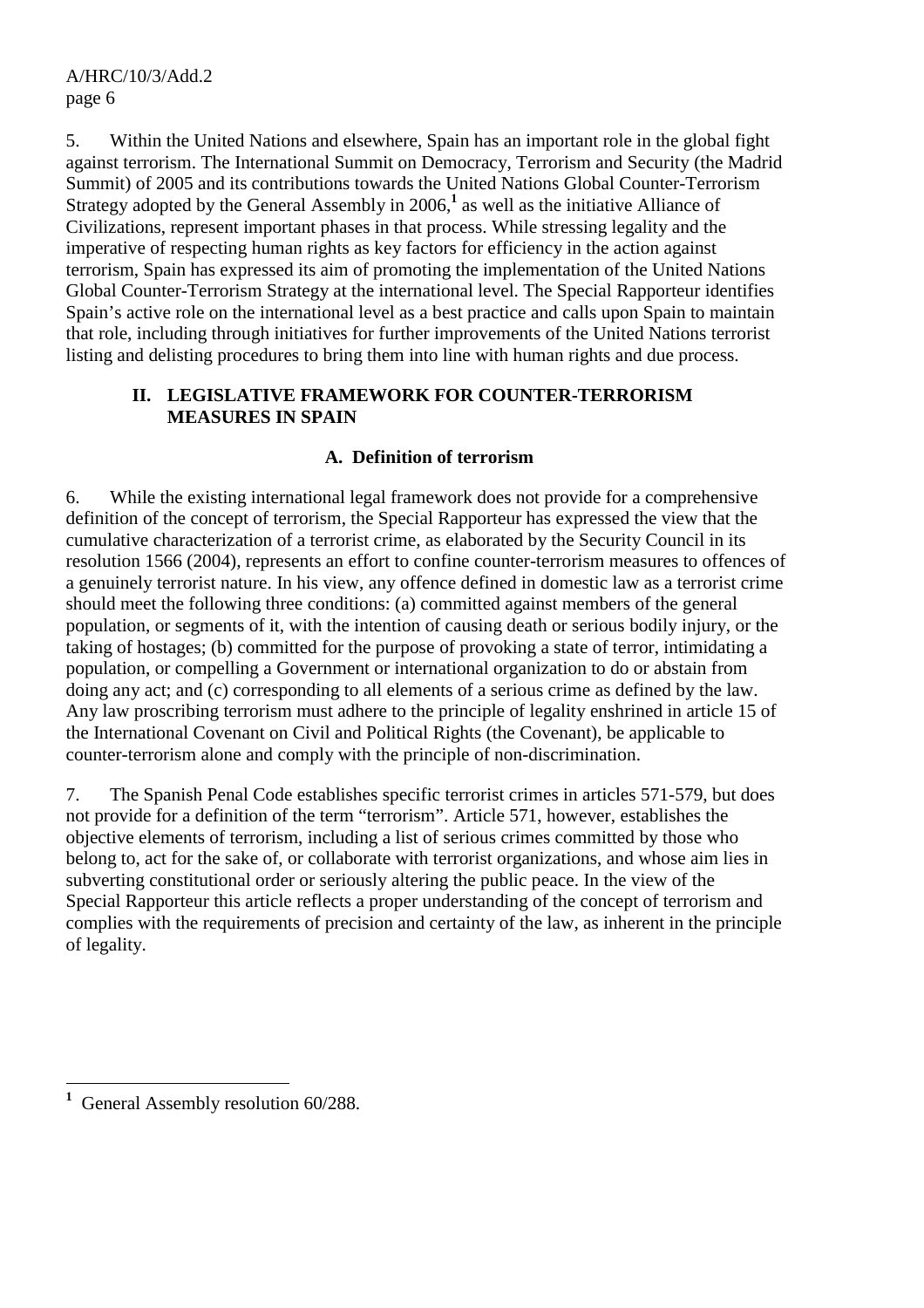5. Within the United Nations and elsewhere, Spain has an important role in the global fight against terrorism. The International Summit on Democracy, Terrorism and Security (the Madrid Summit) of 2005 and its contributions towards the United Nations Global Counter-Terrorism Strategy adopted by the General Assembly in 2006,<sup>1</sup> as well as the initiative Alliance of Civilizations, represent important phases in that process. While stressing legality and the imperative of respecting human rights as key factors for efficiency in the action against terrorism, Spain has expressed its aim of promoting the implementation of the United Nations Global Counter-Terrorism Strategy at the international level. The Special Rapporteur identifies Spain's active role on the international level as a best practice and calls upon Spain to maintain that role, including through initiatives for further improvements of the United Nations terrorist listing and delisting procedures to bring them into line with human rights and due process.

# **II. LEGISLATIVE FRAMEWORK FOR COUNTER-TERRORISM MEASURES IN SPAIN**

# **A. Definition of terrorism**

6. While the existing international legal framework does not provide for a comprehensive definition of the concept of terrorism, the Special Rapporteur has expressed the view that the cumulative characterization of a terrorist crime, as elaborated by the Security Council in its resolution 1566 (2004), represents an effort to confine counter-terrorism measures to offences of a genuinely terrorist nature. In his view, any offence defined in domestic law as a terrorist crime should meet the following three conditions: (a) committed against members of the general population, or segments of it, with the intention of causing death or serious bodily injury, or the taking of hostages; (b) committed for the purpose of provoking a state of terror, intimidating a population, or compelling a Government or international organization to do or abstain from doing any act; and (c) corresponding to all elements of a serious crime as defined by the law. Any law proscribing terrorism must adhere to the principle of legality enshrined in article 15 of the International Covenant on Civil and Political Rights (the Covenant), be applicable to counter-terrorism alone and comply with the principle of non-discrimination.

7. The Spanish Penal Code establishes specific terrorist crimes in articles 571-579, but does not provide for a definition of the term "terrorism". Article 571, however, establishes the objective elements of terrorism, including a list of serious crimes committed by those who belong to, act for the sake of, or collaborate with terrorist organizations, and whose aim lies in subverting constitutional order or seriously altering the public peace. In the view of the Special Rapporteur this article reflects a proper understanding of the concept of terrorism and complies with the requirements of precision and certainty of the law, as inherent in the principle of legality.

 $\overline{a}$ **1** General Assembly resolution 60/288.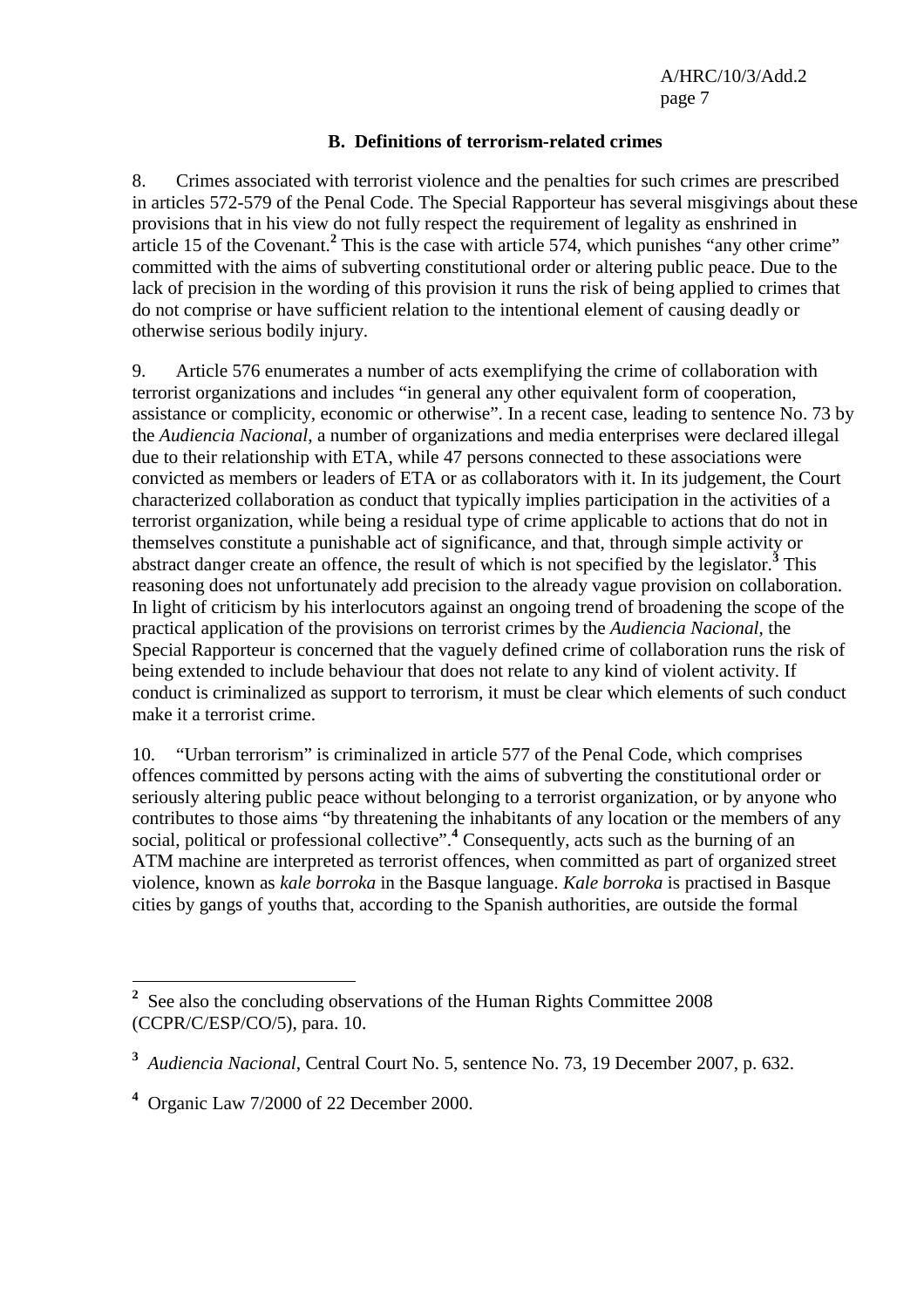#### **B. Definitions of terrorism-related crimes**

8. Crimes associated with terrorist violence and the penalties for such crimes are prescribed in articles 572-579 of the Penal Code. The Special Rapporteur has several misgivings about these provisions that in his view do not fully respect the requirement of legality as enshrined in article 15 of the Covenant.<sup>2</sup> This is the case with article 574, which punishes "any other crime" committed with the aims of subverting constitutional order or altering public peace. Due to the lack of precision in the wording of this provision it runs the risk of being applied to crimes that do not comprise or have sufficient relation to the intentional element of causing deadly or otherwise serious bodily injury.

9. Article 576 enumerates a number of acts exemplifying the crime of collaboration with terrorist organizations and includes "in general any other equivalent form of cooperation, assistance or complicity, economic or otherwise". In a recent case, leading to sentence No. 73 by the *Audiencia Nacional*, a number of organizations and media enterprises were declared illegal due to their relationship with ETA, while 47 persons connected to these associations were convicted as members or leaders of ETA or as collaborators with it. In its judgement, the Court characterized collaboration as conduct that typically implies participation in the activities of a terrorist organization, while being a residual type of crime applicable to actions that do not in themselves constitute a punishable act of significance, and that, through simple activity or abstract danger create an offence, the result of which is not specified by the legislator.**<sup>3</sup>** This reasoning does not unfortunately add precision to the already vague provision on collaboration. In light of criticism by his interlocutors against an ongoing trend of broadening the scope of the practical application of the provisions on terrorist crimes by the *Audiencia Nacional*, the Special Rapporteur is concerned that the vaguely defined crime of collaboration runs the risk of being extended to include behaviour that does not relate to any kind of violent activity. If conduct is criminalized as support to terrorism, it must be clear which elements of such conduct make it a terrorist crime.

10. "Urban terrorism" is criminalized in article 577 of the Penal Code, which comprises offences committed by persons acting with the aims of subverting the constitutional order or seriously altering public peace without belonging to a terrorist organization, or by anyone who contributes to those aims "by threatening the inhabitants of any location or the members of any social, political or professional collective".<sup>4</sup> Consequently, acts such as the burning of an ATM machine are interpreted as terrorist offences, when committed as part of organized street violence, known as *kale borroka* in the Basque language. *Kale borroka* is practised in Basque cities by gangs of youths that, according to the Spanish authorities, are outside the formal

 $\overline{a}$ 

**<sup>2</sup>** See also the concluding observations of the Human Rights Committee 2008 (CCPR/C/ESP/CO/5), para. 10.

**<sup>3</sup>** *Audiencia Nacional*, Central Court No. 5, sentence No. 73, 19 December 2007, p. 632.

**<sup>4</sup>** Organic Law 7/2000 of 22 December 2000.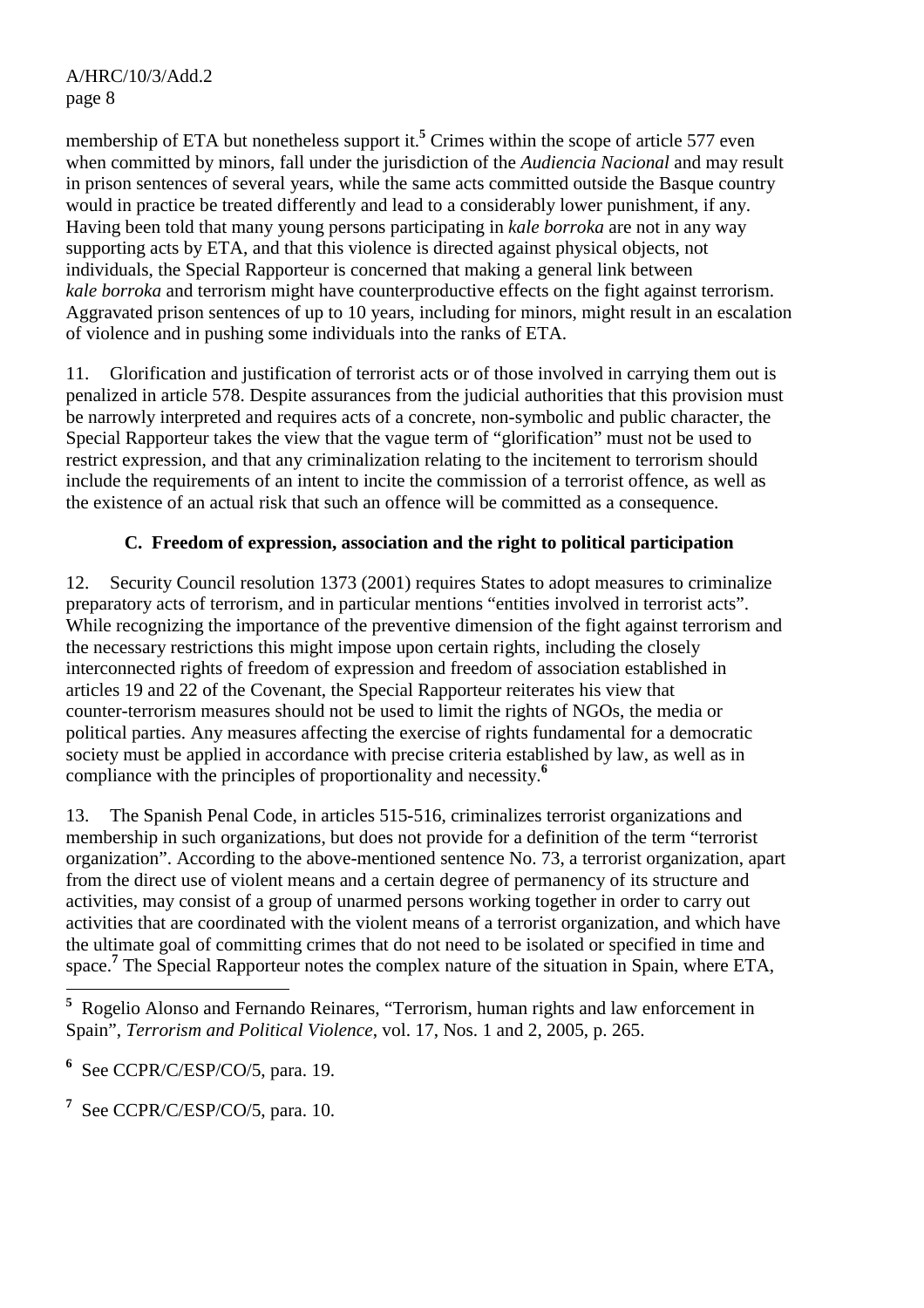membership of ETA but nonetheless support it.<sup>5</sup> Crimes within the scope of article 577 even when committed by minors, fall under the jurisdiction of the *Audiencia Nacional* and may result in prison sentences of several years, while the same acts committed outside the Basque country would in practice be treated differently and lead to a considerably lower punishment, if any. Having been told that many young persons participating in *kale borroka* are not in any way supporting acts by ETA, and that this violence is directed against physical objects, not individuals, the Special Rapporteur is concerned that making a general link between *kale borroka* and terrorism might have counterproductive effects on the fight against terrorism. Aggravated prison sentences of up to 10 years, including for minors, might result in an escalation of violence and in pushing some individuals into the ranks of ETA.

11. Glorification and justification of terrorist acts or of those involved in carrying them out is penalized in article 578. Despite assurances from the judicial authorities that this provision must be narrowly interpreted and requires acts of a concrete, non-symbolic and public character, the Special Rapporteur takes the view that the vague term of "glorification" must not be used to restrict expression, and that any criminalization relating to the incitement to terrorism should include the requirements of an intent to incite the commission of a terrorist offence, as well as the existence of an actual risk that such an offence will be committed as a consequence.

# **C. Freedom of expression, association and the right to political participation**

12. Security Council resolution 1373 (2001) requires States to adopt measures to criminalize preparatory acts of terrorism, and in particular mentions "entities involved in terrorist acts". While recognizing the importance of the preventive dimension of the fight against terrorism and the necessary restrictions this might impose upon certain rights, including the closely interconnected rights of freedom of expression and freedom of association established in articles 19 and 22 of the Covenant, the Special Rapporteur reiterates his view that counter-terrorism measures should not be used to limit the rights of NGOs, the media or political parties. Any measures affecting the exercise of rights fundamental for a democratic society must be applied in accordance with precise criteria established by law, as well as in compliance with the principles of proportionality and necessity.**<sup>6</sup>**

13. The Spanish Penal Code, in articles 515-516, criminalizes terrorist organizations and membership in such organizations, but does not provide for a definition of the term "terrorist organization". According to the above-mentioned sentence No. 73, a terrorist organization, apart from the direct use of violent means and a certain degree of permanency of its structure and activities, may consist of a group of unarmed persons working together in order to carry out activities that are coordinated with the violent means of a terrorist organization, and which have the ultimate goal of committing crimes that do not need to be isolated or specified in time and space.**<sup>7</sup>** The Special Rapporteur notes the complex nature of the situation in Spain, where ETA,

**7** See CCPR/C/ESP/CO/5, para. 10.

<sup>&</sup>lt;sup>5</sup> Rogelio Alonso and Fernando Reinares, "Terrorism, human rights and law enforcement in Spain", *Terrorism and Political Violence*, vol. 17, Nos. 1 and 2, 2005, p. 265.

**<sup>6</sup>** See CCPR/C/ESP/CO/5, para. 19.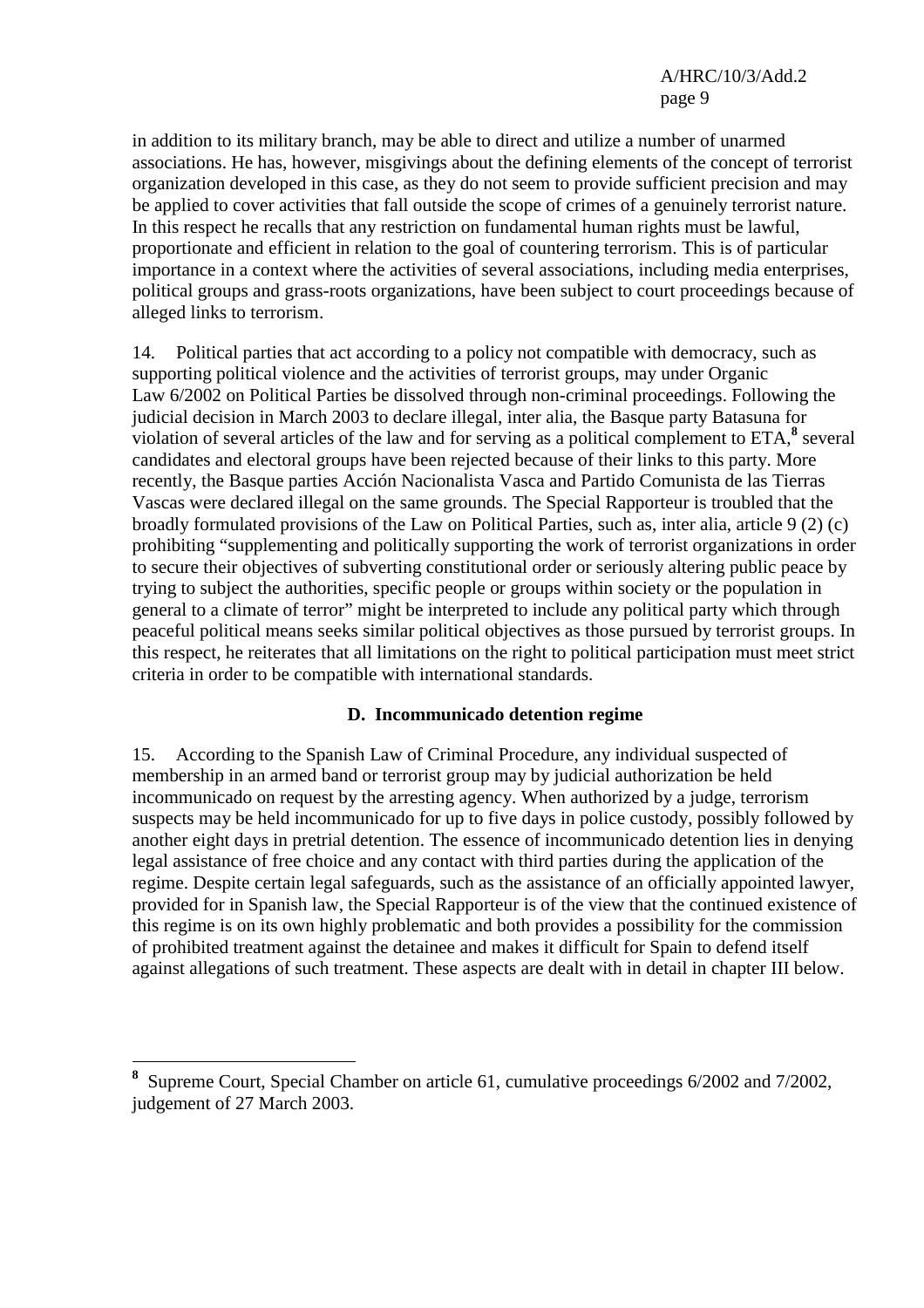in addition to its military branch, may be able to direct and utilize a number of unarmed associations. He has, however, misgivings about the defining elements of the concept of terrorist organization developed in this case, as they do not seem to provide sufficient precision and may be applied to cover activities that fall outside the scope of crimes of a genuinely terrorist nature. In this respect he recalls that any restriction on fundamental human rights must be lawful, proportionate and efficient in relation to the goal of countering terrorism. This is of particular importance in a context where the activities of several associations, including media enterprises, political groups and grass-roots organizations, have been subject to court proceedings because of alleged links to terrorism.

14. Political parties that act according to a policy not compatible with democracy, such as supporting political violence and the activities of terrorist groups, may under Organic Law 6/2002 on Political Parties be dissolved through non-criminal proceedings. Following the judicial decision in March 2003 to declare illegal, inter alia, the Basque party Batasuna for violation of several articles of the law and for serving as a political complement to  $ETA$ <sup>8</sup>, several candidates and electoral groups have been rejected because of their links to this party. More recently, the Basque parties Acción Nacionalista Vasca and Partido Comunista de las Tierras Vascas were declared illegal on the same grounds. The Special Rapporteur is troubled that the broadly formulated provisions of the Law on Political Parties, such as, inter alia, article 9 (2) (c) prohibiting "supplementing and politically supporting the work of terrorist organizations in order to secure their objectives of subverting constitutional order or seriously altering public peace by trying to subject the authorities, specific people or groups within society or the population in general to a climate of terror" might be interpreted to include any political party which through peaceful political means seeks similar political objectives as those pursued by terrorist groups. In this respect, he reiterates that all limitations on the right to political participation must meet strict criteria in order to be compatible with international standards.

## **D. Incommunicado detention regime**

15. According to the Spanish Law of Criminal Procedure, any individual suspected of membership in an armed band or terrorist group may by judicial authorization be held incommunicado on request by the arresting agency. When authorized by a judge, terrorism suspects may be held incommunicado for up to five days in police custody, possibly followed by another eight days in pretrial detention. The essence of incommunicado detention lies in denying legal assistance of free choice and any contact with third parties during the application of the regime. Despite certain legal safeguards, such as the assistance of an officially appointed lawyer, provided for in Spanish law, the Special Rapporteur is of the view that the continued existence of this regime is on its own highly problematic and both provides a possibility for the commission of prohibited treatment against the detainee and makes it difficult for Spain to defend itself against allegations of such treatment. These aspects are dealt with in detail in chapter III below.

 $\overline{a}$ 

**<sup>8</sup>** Supreme Court, Special Chamber on article 61, cumulative proceedings 6/2002 and 7/2002, judgement of 27 March 2003.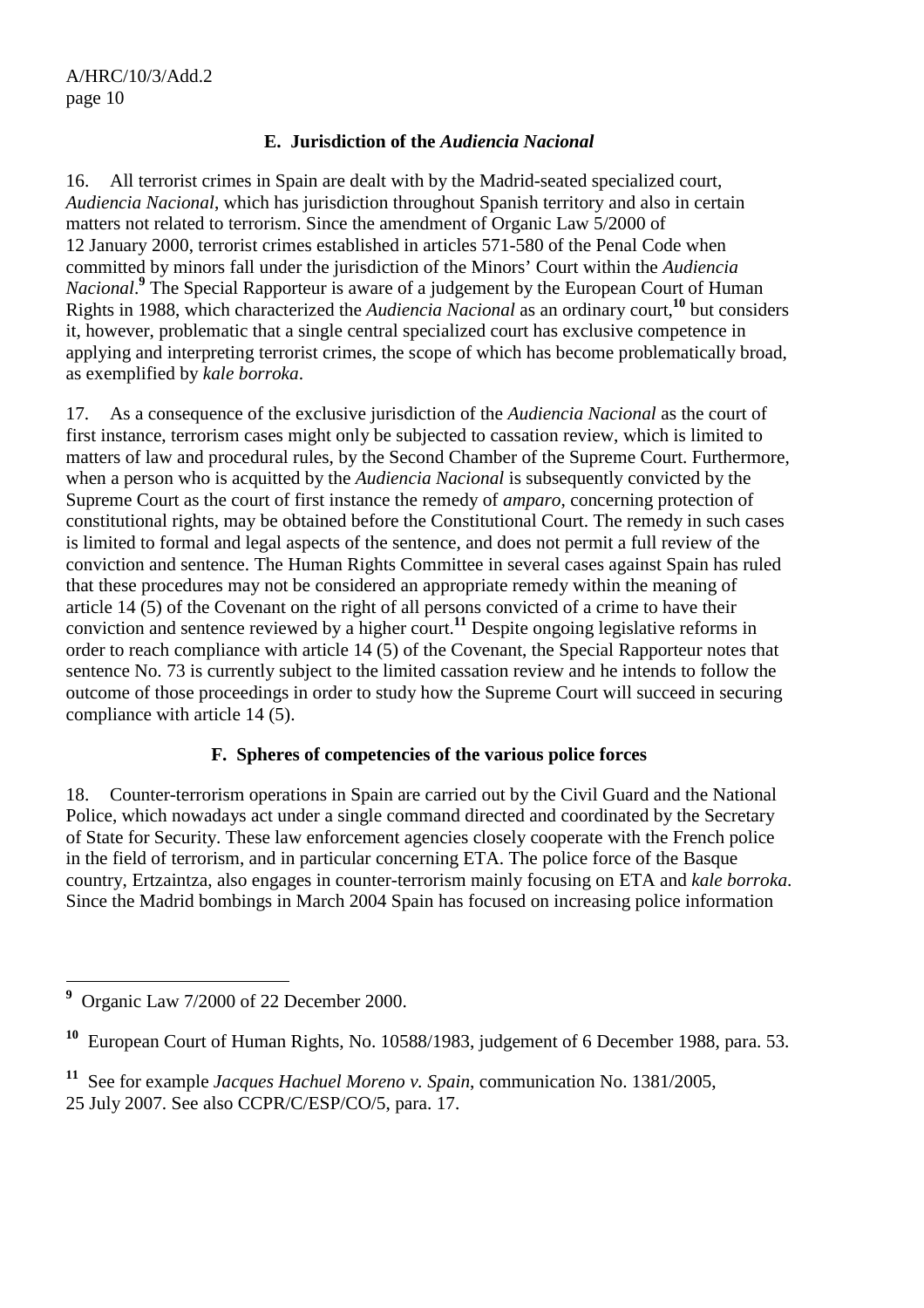# **E. Jurisdiction of the** *Audiencia Nacional*

16. All terrorist crimes in Spain are dealt with by the Madrid-seated specialized court, *Audiencia Nacional*, which has jurisdiction throughout Spanish territory and also in certain matters not related to terrorism. Since the amendment of Organic Law 5/2000 of 12 January 2000, terrorist crimes established in articles 571-580 of the Penal Code when committed by minors fall under the jurisdiction of the Minors' Court within the *Audiencia*  Nacional.<sup>9</sup> The Special Rapporteur is aware of a judgement by the European Court of Human Rights in 1988, which characterized the *Audiencia Nacional* as an ordinary court,**<sup>10</sup>** but considers it, however, problematic that a single central specialized court has exclusive competence in applying and interpreting terrorist crimes, the scope of which has become problematically broad, as exemplified by *kale borroka*.

17. As a consequence of the exclusive jurisdiction of the *Audiencia Nacional* as the court of first instance, terrorism cases might only be subjected to cassation review, which is limited to matters of law and procedural rules, by the Second Chamber of the Supreme Court. Furthermore, when a person who is acquitted by the *Audiencia Nacional* is subsequently convicted by the Supreme Court as the court of first instance the remedy of *amparo*, concerning protection of constitutional rights, may be obtained before the Constitutional Court. The remedy in such cases is limited to formal and legal aspects of the sentence, and does not permit a full review of the conviction and sentence. The Human Rights Committee in several cases against Spain has ruled that these procedures may not be considered an appropriate remedy within the meaning of article 14 (5) of the Covenant on the right of all persons convicted of a crime to have their conviction and sentence reviewed by a higher court.**<sup>11</sup>** Despite ongoing legislative reforms in order to reach compliance with article 14 (5) of the Covenant, the Special Rapporteur notes that sentence No. 73 is currently subject to the limited cassation review and he intends to follow the outcome of those proceedings in order to study how the Supreme Court will succeed in securing compliance with article 14 (5).

## **F. Spheres of competencies of the various police forces**

18. Counter-terrorism operations in Spain are carried out by the Civil Guard and the National Police, which nowadays act under a single command directed and coordinated by the Secretary of State for Security. These law enforcement agencies closely cooperate with the French police in the field of terrorism, and in particular concerning ETA. The police force of the Basque country, Ertzaintza, also engages in counter-terrorism mainly focusing on ETA and *kale borroka*. Since the Madrid bombings in March 2004 Spain has focused on increasing police information

 **9** Organic Law 7/2000 of 22 December 2000.

**<sup>10</sup>** European Court of Human Rights, No. 10588/1983, judgement of 6 December 1988, para. 53.

**<sup>11</sup>** See for example *Jacques Hachuel Moreno v. Spain*, communication No. 1381/2005, 25 July 2007. See also CCPR/C/ESP/CO/5, para. 17.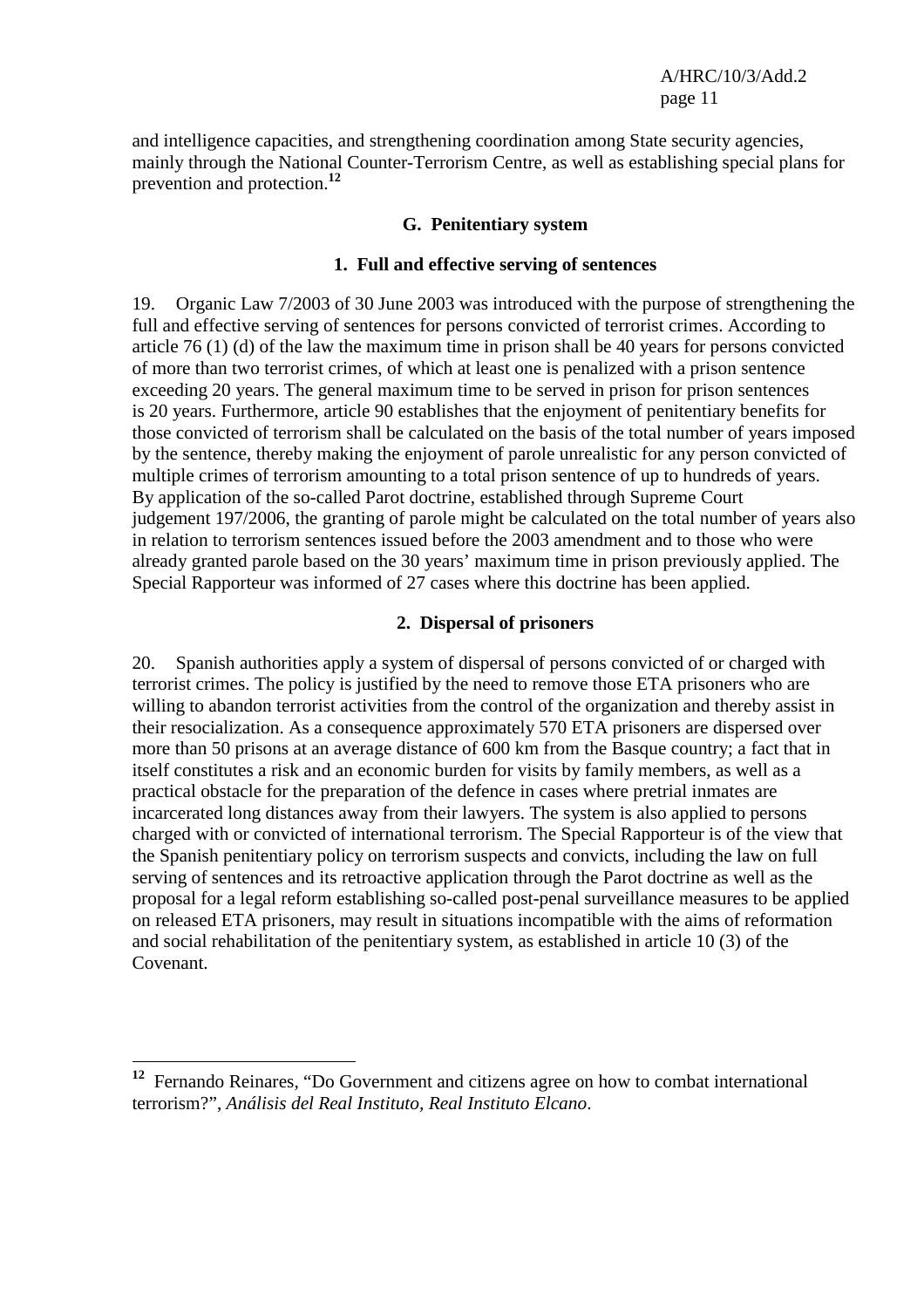and intelligence capacities, and strengthening coordination among State security agencies, mainly through the National Counter-Terrorism Centre, as well as establishing special plans for prevention and protection.**<sup>12</sup>**

#### **G. Penitentiary system**

#### **1. Full and effective serving of sentences**

19. Organic Law 7/2003 of 30 June 2003 was introduced with the purpose of strengthening the full and effective serving of sentences for persons convicted of terrorist crimes. According to article 76 (1) (d) of the law the maximum time in prison shall be 40 years for persons convicted of more than two terrorist crimes, of which at least one is penalized with a prison sentence exceeding 20 years. The general maximum time to be served in prison for prison sentences is 20 years. Furthermore, article 90 establishes that the enjoyment of penitentiary benefits for those convicted of terrorism shall be calculated on the basis of the total number of years imposed by the sentence, thereby making the enjoyment of parole unrealistic for any person convicted of multiple crimes of terrorism amounting to a total prison sentence of up to hundreds of years. By application of the so-called Parot doctrine, established through Supreme Court judgement 197/2006, the granting of parole might be calculated on the total number of years also in relation to terrorism sentences issued before the 2003 amendment and to those who were already granted parole based on the 30 years' maximum time in prison previously applied. The Special Rapporteur was informed of 27 cases where this doctrine has been applied.

#### **2. Dispersal of prisoners**

20. Spanish authorities apply a system of dispersal of persons convicted of or charged with terrorist crimes. The policy is justified by the need to remove those ETA prisoners who are willing to abandon terrorist activities from the control of the organization and thereby assist in their resocialization. As a consequence approximately 570 ETA prisoners are dispersed over more than 50 prisons at an average distance of 600 km from the Basque country; a fact that in itself constitutes a risk and an economic burden for visits by family members, as well as a practical obstacle for the preparation of the defence in cases where pretrial inmates are incarcerated long distances away from their lawyers. The system is also applied to persons charged with or convicted of international terrorism. The Special Rapporteur is of the view that the Spanish penitentiary policy on terrorism suspects and convicts, including the law on full serving of sentences and its retroactive application through the Parot doctrine as well as the proposal for a legal reform establishing so-called post-penal surveillance measures to be applied on released ETA prisoners, may result in situations incompatible with the aims of reformation and social rehabilitation of the penitentiary system, as established in article 10 (3) of the Covenant.

 $\overline{a}$ 

**<sup>12</sup>** Fernando Reinares, "Do Government and citizens agree on how to combat international terrorism?", *Análisis del Real Instituto, Real Instituto Elcano*.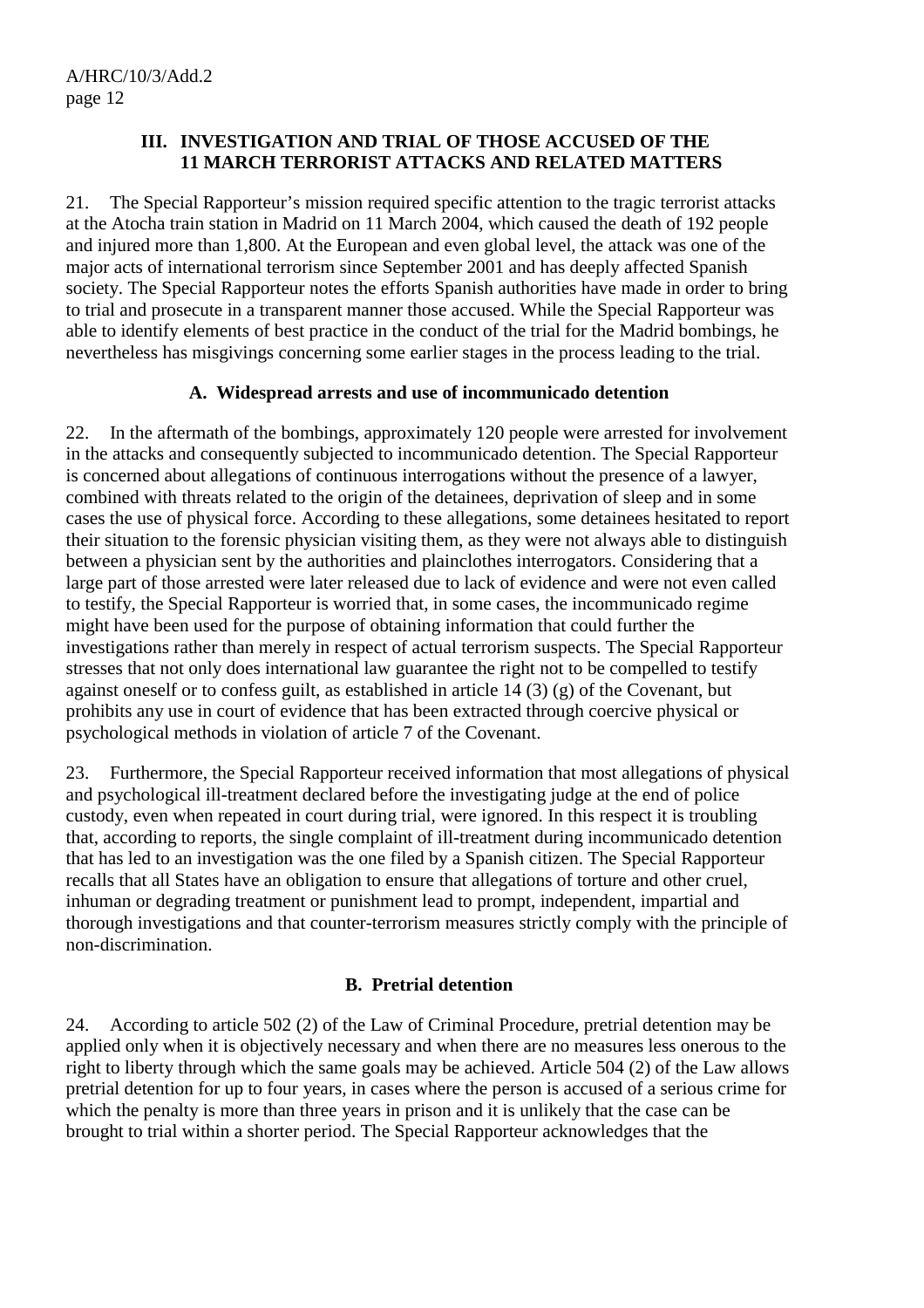#### **III. INVESTIGATION AND TRIAL OF THOSE ACCUSED OF THE 11 MARCH TERRORIST ATTACKS AND RELATED MATTERS**

21. The Special Rapporteur's mission required specific attention to the tragic terrorist attacks at the Atocha train station in Madrid on 11 March 2004, which caused the death of 192 people and injured more than 1,800. At the European and even global level, the attack was one of the major acts of international terrorism since September 2001 and has deeply affected Spanish society. The Special Rapporteur notes the efforts Spanish authorities have made in order to bring to trial and prosecute in a transparent manner those accused. While the Special Rapporteur was able to identify elements of best practice in the conduct of the trial for the Madrid bombings, he nevertheless has misgivings concerning some earlier stages in the process leading to the trial.

## **A. Widespread arrests and use of incommunicado detention**

22. In the aftermath of the bombings, approximately 120 people were arrested for involvement in the attacks and consequently subjected to incommunicado detention. The Special Rapporteur is concerned about allegations of continuous interrogations without the presence of a lawyer, combined with threats related to the origin of the detainees, deprivation of sleep and in some cases the use of physical force. According to these allegations, some detainees hesitated to report their situation to the forensic physician visiting them, as they were not always able to distinguish between a physician sent by the authorities and plainclothes interrogators. Considering that a large part of those arrested were later released due to lack of evidence and were not even called to testify, the Special Rapporteur is worried that, in some cases, the incommunicado regime might have been used for the purpose of obtaining information that could further the investigations rather than merely in respect of actual terrorism suspects. The Special Rapporteur stresses that not only does international law guarantee the right not to be compelled to testify against oneself or to confess guilt, as established in article 14 (3) (g) of the Covenant, but prohibits any use in court of evidence that has been extracted through coercive physical or psychological methods in violation of article 7 of the Covenant.

23. Furthermore, the Special Rapporteur received information that most allegations of physical and psychological ill-treatment declared before the investigating judge at the end of police custody, even when repeated in court during trial, were ignored. In this respect it is troubling that, according to reports, the single complaint of ill-treatment during incommunicado detention that has led to an investigation was the one filed by a Spanish citizen. The Special Rapporteur recalls that all States have an obligation to ensure that allegations of torture and other cruel, inhuman or degrading treatment or punishment lead to prompt, independent, impartial and thorough investigations and that counter-terrorism measures strictly comply with the principle of non-discrimination.

## **B. Pretrial detention**

24. According to article 502 (2) of the Law of Criminal Procedure, pretrial detention may be applied only when it is objectively necessary and when there are no measures less onerous to the right to liberty through which the same goals may be achieved. Article 504 (2) of the Law allows pretrial detention for up to four years, in cases where the person is accused of a serious crime for which the penalty is more than three years in prison and it is unlikely that the case can be brought to trial within a shorter period. The Special Rapporteur acknowledges that the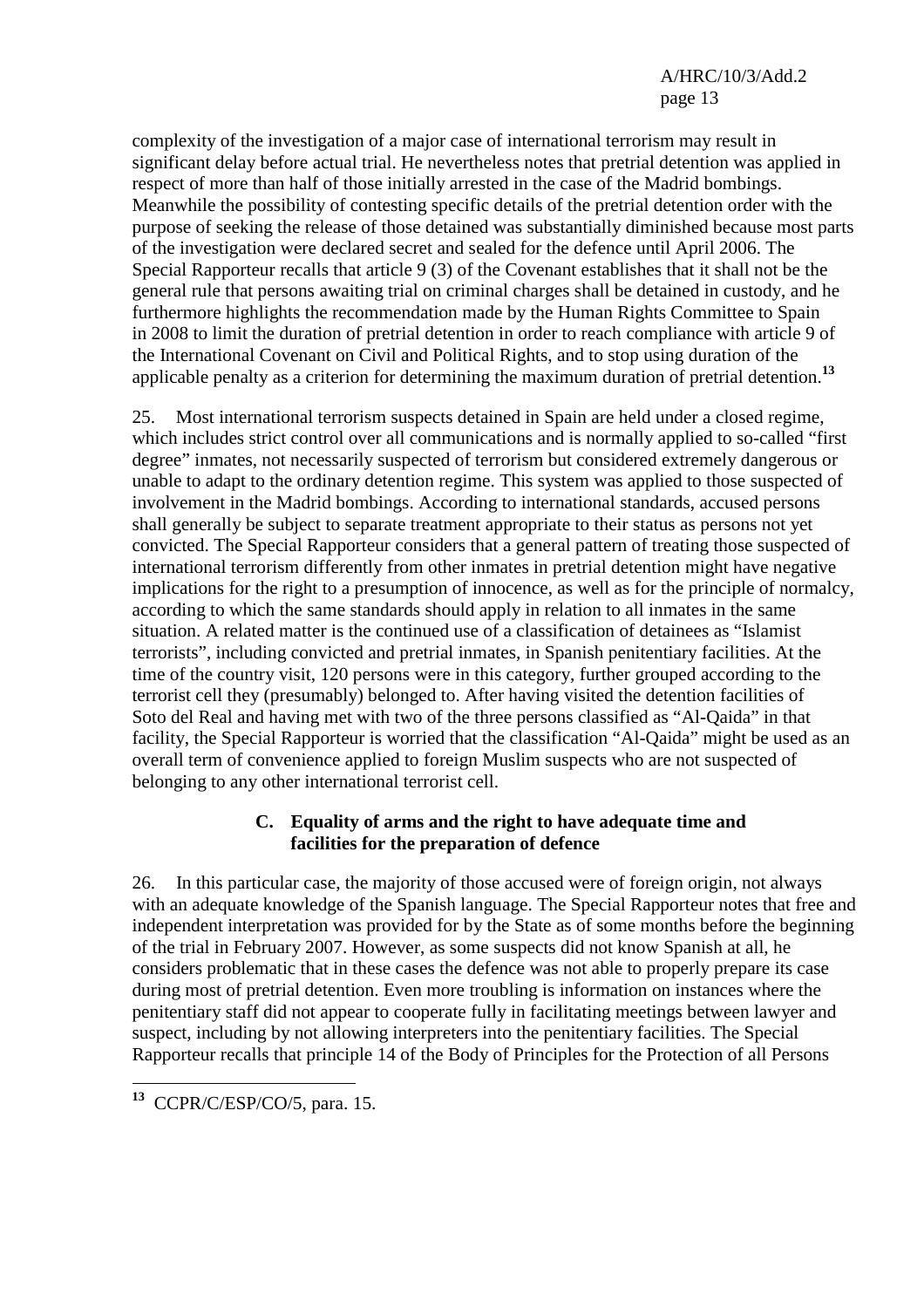complexity of the investigation of a major case of international terrorism may result in significant delay before actual trial. He nevertheless notes that pretrial detention was applied in respect of more than half of those initially arrested in the case of the Madrid bombings. Meanwhile the possibility of contesting specific details of the pretrial detention order with the purpose of seeking the release of those detained was substantially diminished because most parts of the investigation were declared secret and sealed for the defence until April 2006. The Special Rapporteur recalls that article 9 (3) of the Covenant establishes that it shall not be the general rule that persons awaiting trial on criminal charges shall be detained in custody, and he furthermore highlights the recommendation made by the Human Rights Committee to Spain in 2008 to limit the duration of pretrial detention in order to reach compliance with article 9 of the International Covenant on Civil and Political Rights, and to stop using duration of the applicable penalty as a criterion for determining the maximum duration of pretrial detention.**<sup>13</sup>**

25. Most international terrorism suspects detained in Spain are held under a closed regime, which includes strict control over all communications and is normally applied to so-called "first degree" inmates, not necessarily suspected of terrorism but considered extremely dangerous or unable to adapt to the ordinary detention regime. This system was applied to those suspected of involvement in the Madrid bombings. According to international standards, accused persons shall generally be subject to separate treatment appropriate to their status as persons not yet convicted. The Special Rapporteur considers that a general pattern of treating those suspected of international terrorism differently from other inmates in pretrial detention might have negative implications for the right to a presumption of innocence, as well as for the principle of normalcy, according to which the same standards should apply in relation to all inmates in the same situation. A related matter is the continued use of a classification of detainees as "Islamist terrorists", including convicted and pretrial inmates, in Spanish penitentiary facilities. At the time of the country visit, 120 persons were in this category, further grouped according to the terrorist cell they (presumably) belonged to. After having visited the detention facilities of Soto del Real and having met with two of the three persons classified as "Al-Qaida" in that facility, the Special Rapporteur is worried that the classification "Al-Qaida" might be used as an overall term of convenience applied to foreign Muslim suspects who are not suspected of belonging to any other international terrorist cell.

## **C. Equality of arms and the right to have adequate time and facilities for the preparation of defence**

26. In this particular case, the majority of those accused were of foreign origin, not always with an adequate knowledge of the Spanish language. The Special Rapporteur notes that free and independent interpretation was provided for by the State as of some months before the beginning of the trial in February 2007. However, as some suspects did not know Spanish at all, he considers problematic that in these cases the defence was not able to properly prepare its case during most of pretrial detention. Even more troubling is information on instances where the penitentiary staff did not appear to cooperate fully in facilitating meetings between lawyer and suspect, including by not allowing interpreters into the penitentiary facilities. The Special Rapporteur recalls that principle 14 of the Body of Principles for the Protection of all Persons

 $\overline{a}$ **<sup>13</sup>** CCPR/C/ESP/CO/5, para. 15.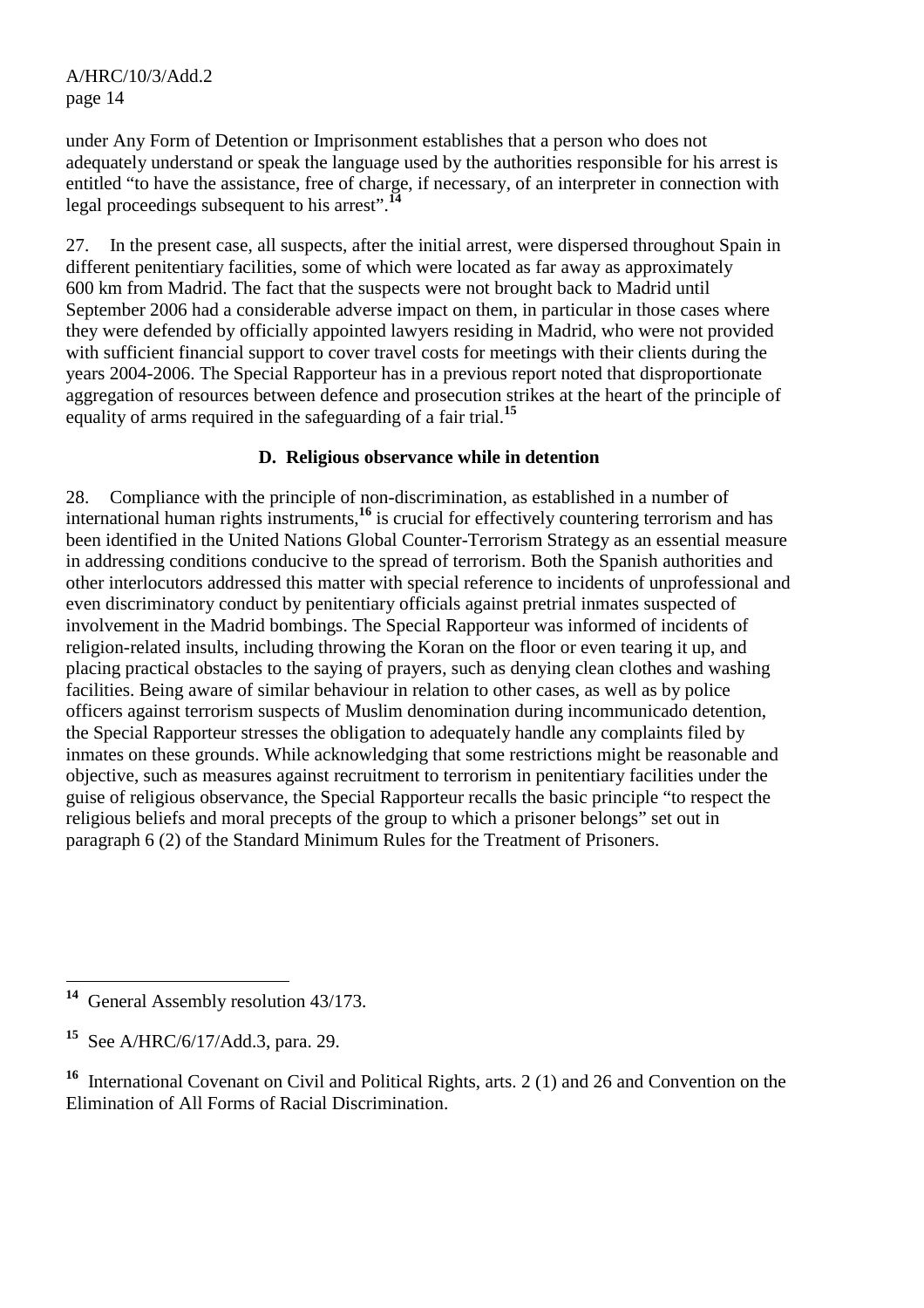under Any Form of Detention or Imprisonment establishes that a person who does not adequately understand or speak the language used by the authorities responsible for his arrest is entitled "to have the assistance, free of charge, if necessary, of an interpreter in connection with legal proceedings subsequent to his arrest".**<sup>14</sup>**

27. In the present case, all suspects, after the initial arrest, were dispersed throughout Spain in different penitentiary facilities, some of which were located as far away as approximately 600 km from Madrid. The fact that the suspects were not brought back to Madrid until September 2006 had a considerable adverse impact on them, in particular in those cases where they were defended by officially appointed lawyers residing in Madrid, who were not provided with sufficient financial support to cover travel costs for meetings with their clients during the years 2004-2006. The Special Rapporteur has in a previous report noted that disproportionate aggregation of resources between defence and prosecution strikes at the heart of the principle of equality of arms required in the safeguarding of a fair trial.**<sup>15</sup>**

## **D. Religious observance while in detention**

28. Compliance with the principle of non-discrimination, as established in a number of international human rights instruments,**<sup>16</sup>** is crucial for effectively countering terrorism and has been identified in the United Nations Global Counter-Terrorism Strategy as an essential measure in addressing conditions conducive to the spread of terrorism. Both the Spanish authorities and other interlocutors addressed this matter with special reference to incidents of unprofessional and even discriminatory conduct by penitentiary officials against pretrial inmates suspected of involvement in the Madrid bombings. The Special Rapporteur was informed of incidents of religion-related insults, including throwing the Koran on the floor or even tearing it up, and placing practical obstacles to the saying of prayers, such as denying clean clothes and washing facilities. Being aware of similar behaviour in relation to other cases, as well as by police officers against terrorism suspects of Muslim denomination during incommunicado detention, the Special Rapporteur stresses the obligation to adequately handle any complaints filed by inmates on these grounds. While acknowledging that some restrictions might be reasonable and objective, such as measures against recruitment to terrorism in penitentiary facilities under the guise of religious observance, the Special Rapporteur recalls the basic principle "to respect the religious beliefs and moral precepts of the group to which a prisoner belongs" set out in paragraph 6 (2) of the Standard Minimum Rules for the Treatment of Prisoners.

 $\overline{a}$ **<sup>14</sup>** General Assembly resolution 43/173.

**<sup>15</sup>** See A/HRC/6/17/Add.3, para. 29.

**<sup>16</sup>** International Covenant on Civil and Political Rights, arts. 2 (1) and 26 and Convention on the Elimination of All Forms of Racial Discrimination.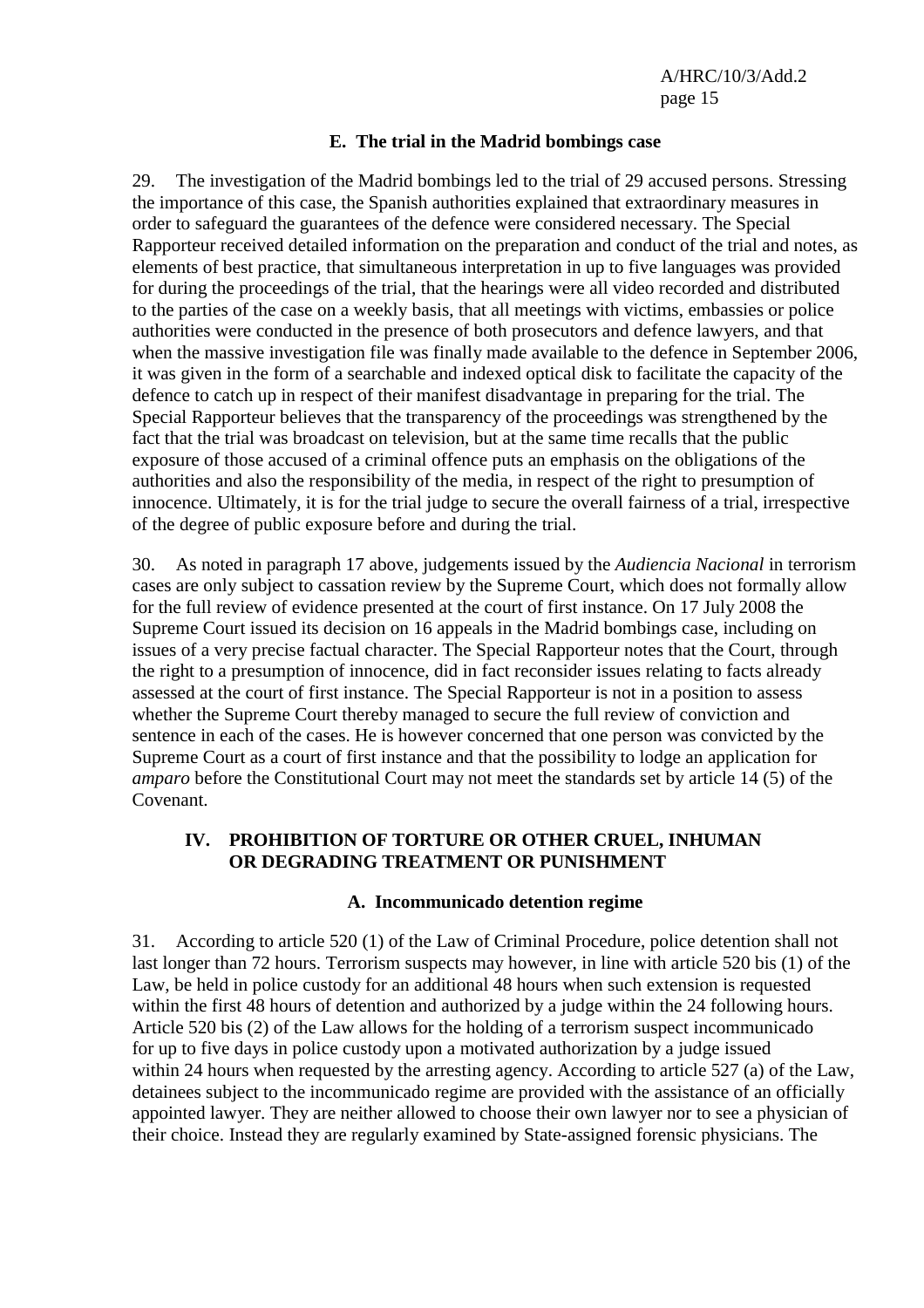#### **E. The trial in the Madrid bombings case**

29. The investigation of the Madrid bombings led to the trial of 29 accused persons. Stressing the importance of this case, the Spanish authorities explained that extraordinary measures in order to safeguard the guarantees of the defence were considered necessary. The Special Rapporteur received detailed information on the preparation and conduct of the trial and notes, as elements of best practice, that simultaneous interpretation in up to five languages was provided for during the proceedings of the trial, that the hearings were all video recorded and distributed to the parties of the case on a weekly basis, that all meetings with victims, embassies or police authorities were conducted in the presence of both prosecutors and defence lawyers, and that when the massive investigation file was finally made available to the defence in September 2006, it was given in the form of a searchable and indexed optical disk to facilitate the capacity of the defence to catch up in respect of their manifest disadvantage in preparing for the trial. The Special Rapporteur believes that the transparency of the proceedings was strengthened by the fact that the trial was broadcast on television, but at the same time recalls that the public exposure of those accused of a criminal offence puts an emphasis on the obligations of the authorities and also the responsibility of the media, in respect of the right to presumption of innocence. Ultimately, it is for the trial judge to secure the overall fairness of a trial, irrespective of the degree of public exposure before and during the trial.

30. As noted in paragraph 17 above, judgements issued by the *Audiencia Nacional* in terrorism cases are only subject to cassation review by the Supreme Court, which does not formally allow for the full review of evidence presented at the court of first instance. On 17 July 2008 the Supreme Court issued its decision on 16 appeals in the Madrid bombings case, including on issues of a very precise factual character. The Special Rapporteur notes that the Court, through the right to a presumption of innocence, did in fact reconsider issues relating to facts already assessed at the court of first instance. The Special Rapporteur is not in a position to assess whether the Supreme Court thereby managed to secure the full review of conviction and sentence in each of the cases. He is however concerned that one person was convicted by the Supreme Court as a court of first instance and that the possibility to lodge an application for *amparo* before the Constitutional Court may not meet the standards set by article 14 (5) of the Covenant.

#### **IV. PROHIBITION OF TORTURE OR OTHER CRUEL, INHUMAN OR DEGRADING TREATMENT OR PUNISHMENT**

#### **A. Incommunicado detention regime**

31. According to article 520 (1) of the Law of Criminal Procedure, police detention shall not last longer than 72 hours. Terrorism suspects may however, in line with article 520 bis (1) of the Law, be held in police custody for an additional 48 hours when such extension is requested within the first 48 hours of detention and authorized by a judge within the 24 following hours. Article 520 bis (2) of the Law allows for the holding of a terrorism suspect incommunicado for up to five days in police custody upon a motivated authorization by a judge issued within 24 hours when requested by the arresting agency. According to article 527 (a) of the Law, detainees subject to the incommunicado regime are provided with the assistance of an officially appointed lawyer. They are neither allowed to choose their own lawyer nor to see a physician of their choice. Instead they are regularly examined by State-assigned forensic physicians. The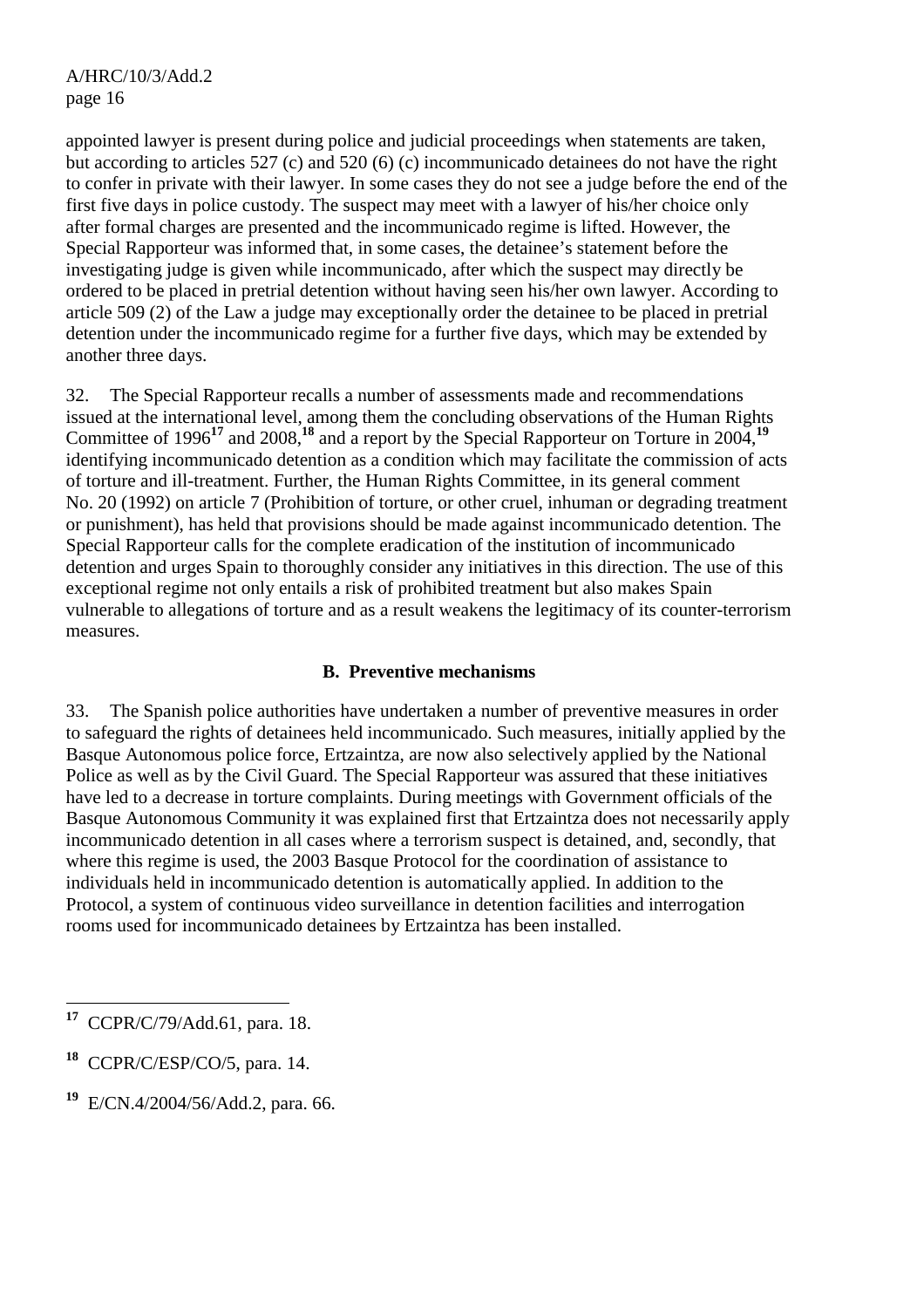appointed lawyer is present during police and judicial proceedings when statements are taken, but according to articles 527 (c) and 520 (6) (c) incommunicado detainees do not have the right to confer in private with their lawyer. In some cases they do not see a judge before the end of the first five days in police custody. The suspect may meet with a lawyer of his/her choice only after formal charges are presented and the incommunicado regime is lifted. However, the Special Rapporteur was informed that, in some cases, the detainee's statement before the investigating judge is given while incommunicado, after which the suspect may directly be ordered to be placed in pretrial detention without having seen his/her own lawyer. According to article 509 (2) of the Law a judge may exceptionally order the detainee to be placed in pretrial detention under the incommunicado regime for a further five days, which may be extended by another three days.

32. The Special Rapporteur recalls a number of assessments made and recommendations issued at the international level, among them the concluding observations of the Human Rights Committee of 1996**<sup>17</sup>** and 2008,**<sup>18</sup>** and a report by the Special Rapporteur on Torture in 2004,**<sup>19</sup>** identifying incommunicado detention as a condition which may facilitate the commission of acts of torture and ill-treatment. Further, the Human Rights Committee, in its general comment No. 20 (1992) on article 7 (Prohibition of torture, or other cruel, inhuman or degrading treatment or punishment), has held that provisions should be made against incommunicado detention. The Special Rapporteur calls for the complete eradication of the institution of incommunicado detention and urges Spain to thoroughly consider any initiatives in this direction. The use of this exceptional regime not only entails a risk of prohibited treatment but also makes Spain vulnerable to allegations of torture and as a result weakens the legitimacy of its counter-terrorism measures.

## **B. Preventive mechanisms**

33. The Spanish police authorities have undertaken a number of preventive measures in order to safeguard the rights of detainees held incommunicado. Such measures, initially applied by the Basque Autonomous police force, Ertzaintza, are now also selectively applied by the National Police as well as by the Civil Guard. The Special Rapporteur was assured that these initiatives have led to a decrease in torture complaints. During meetings with Government officials of the Basque Autonomous Community it was explained first that Ertzaintza does not necessarily apply incommunicado detention in all cases where a terrorism suspect is detained, and, secondly, that where this regime is used, the 2003 Basque Protocol for the coordination of assistance to individuals held in incommunicado detention is automatically applied. In addition to the Protocol, a system of continuous video surveillance in detention facilities and interrogation rooms used for incommunicado detainees by Ertzaintza has been installed.

<sup>17</sup> **<sup>17</sup>** CCPR/C/79/Add.61, para. 18.

**<sup>18</sup>** CCPR/C/ESP/CO/5, para. 14.

**<sup>19</sup>** E/CN.4/2004/56/Add.2, para. 66.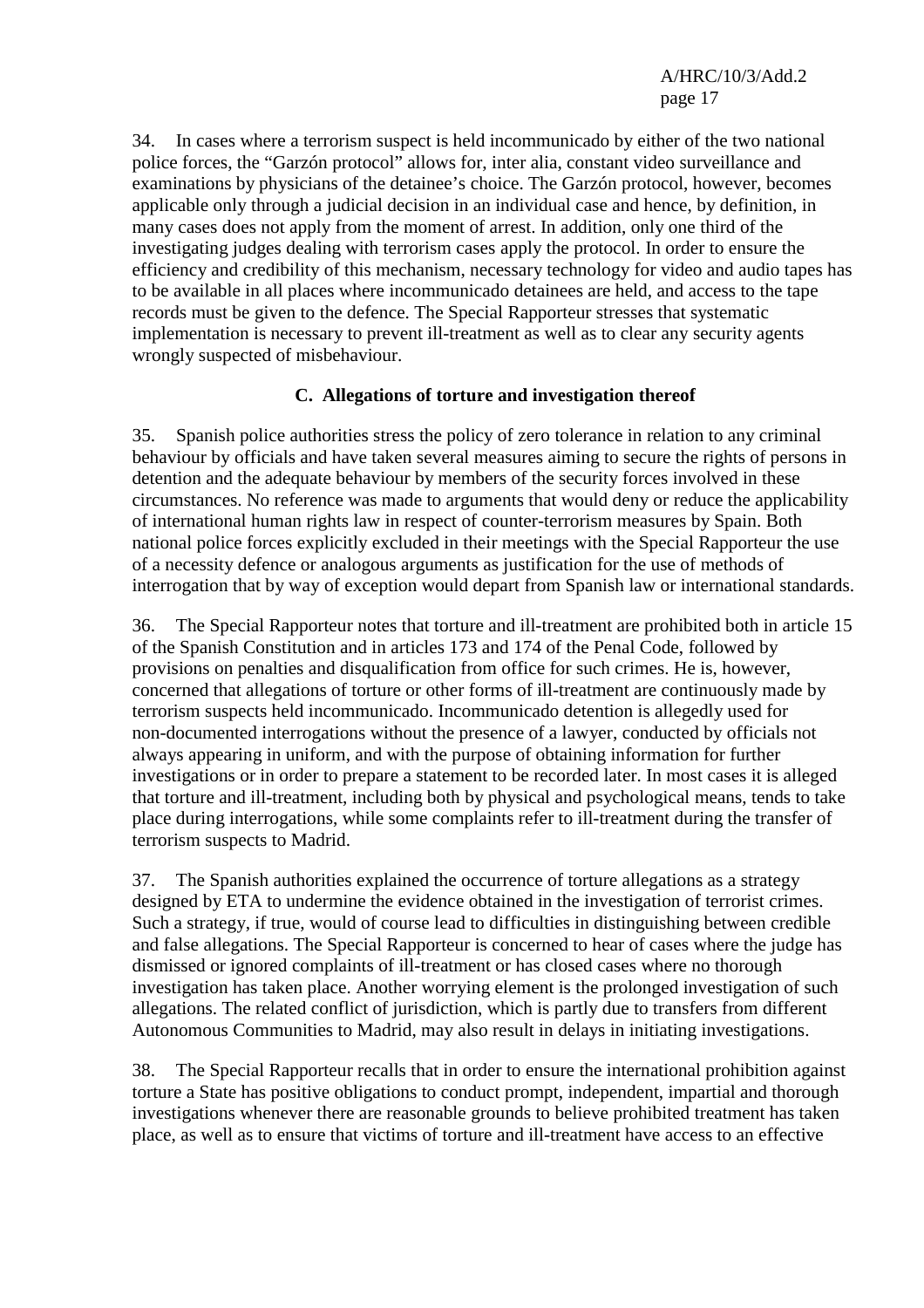34. In cases where a terrorism suspect is held incommunicado by either of the two national police forces, the "Garzón protocol" allows for, inter alia, constant video surveillance and examinations by physicians of the detainee's choice. The Garzón protocol, however, becomes applicable only through a judicial decision in an individual case and hence, by definition, in many cases does not apply from the moment of arrest. In addition, only one third of the investigating judges dealing with terrorism cases apply the protocol. In order to ensure the efficiency and credibility of this mechanism, necessary technology for video and audio tapes has to be available in all places where incommunicado detainees are held, and access to the tape records must be given to the defence. The Special Rapporteur stresses that systematic implementation is necessary to prevent ill-treatment as well as to clear any security agents wrongly suspected of misbehaviour.

# **C. Allegations of torture and investigation thereof**

35. Spanish police authorities stress the policy of zero tolerance in relation to any criminal behaviour by officials and have taken several measures aiming to secure the rights of persons in detention and the adequate behaviour by members of the security forces involved in these circumstances. No reference was made to arguments that would deny or reduce the applicability of international human rights law in respect of counter-terrorism measures by Spain. Both national police forces explicitly excluded in their meetings with the Special Rapporteur the use of a necessity defence or analogous arguments as justification for the use of methods of interrogation that by way of exception would depart from Spanish law or international standards.

36. The Special Rapporteur notes that torture and ill-treatment are prohibited both in article 15 of the Spanish Constitution and in articles 173 and 174 of the Penal Code, followed by provisions on penalties and disqualification from office for such crimes. He is, however, concerned that allegations of torture or other forms of ill-treatment are continuously made by terrorism suspects held incommunicado. Incommunicado detention is allegedly used for non-documented interrogations without the presence of a lawyer, conducted by officials not always appearing in uniform, and with the purpose of obtaining information for further investigations or in order to prepare a statement to be recorded later. In most cases it is alleged that torture and ill-treatment, including both by physical and psychological means, tends to take place during interrogations, while some complaints refer to ill-treatment during the transfer of terrorism suspects to Madrid.

37. The Spanish authorities explained the occurrence of torture allegations as a strategy designed by ETA to undermine the evidence obtained in the investigation of terrorist crimes. Such a strategy, if true, would of course lead to difficulties in distinguishing between credible and false allegations. The Special Rapporteur is concerned to hear of cases where the judge has dismissed or ignored complaints of ill-treatment or has closed cases where no thorough investigation has taken place. Another worrying element is the prolonged investigation of such allegations. The related conflict of jurisdiction, which is partly due to transfers from different Autonomous Communities to Madrid, may also result in delays in initiating investigations.

38. The Special Rapporteur recalls that in order to ensure the international prohibition against torture a State has positive obligations to conduct prompt, independent, impartial and thorough investigations whenever there are reasonable grounds to believe prohibited treatment has taken place, as well as to ensure that victims of torture and ill-treatment have access to an effective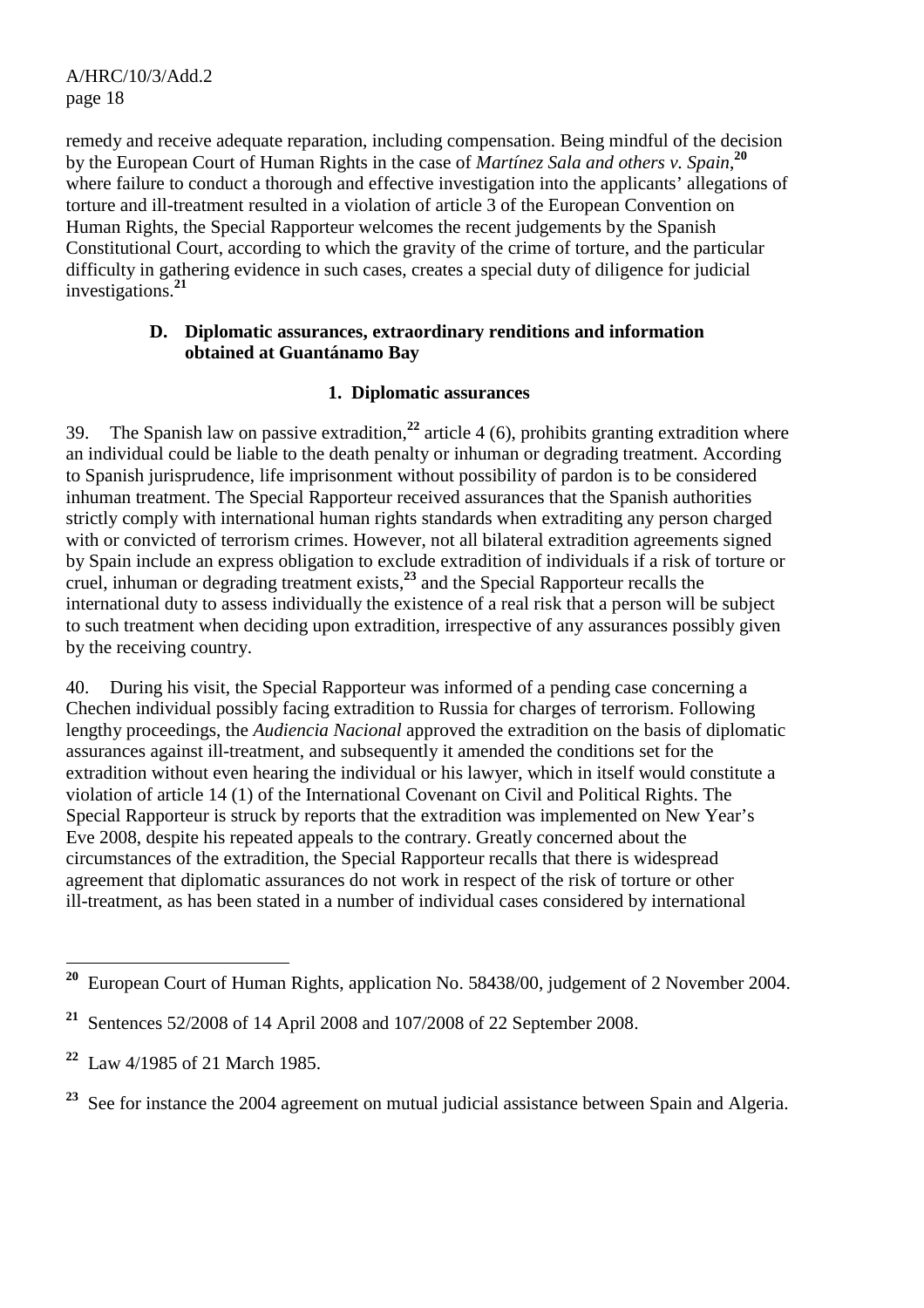remedy and receive adequate reparation, including compensation. Being mindful of the decision by the European Court of Human Rights in the case of *Martínez Sala and others v. Spain*, **20** where failure to conduct a thorough and effective investigation into the applicants' allegations of torture and ill-treatment resulted in a violation of article 3 of the European Convention on Human Rights, the Special Rapporteur welcomes the recent judgements by the Spanish Constitutional Court, according to which the gravity of the crime of torture, and the particular difficulty in gathering evidence in such cases, creates a special duty of diligence for judicial investigations.**<sup>21</sup>**

#### **D. Diplomatic assurances, extraordinary renditions and information obtained at Guantánamo Bay**

# **1. Diplomatic assurances**

39. The Spanish law on passive extradition,**<sup>22</sup>** article 4 (6), prohibits granting extradition where an individual could be liable to the death penalty or inhuman or degrading treatment. According to Spanish jurisprudence, life imprisonment without possibility of pardon is to be considered inhuman treatment. The Special Rapporteur received assurances that the Spanish authorities strictly comply with international human rights standards when extraditing any person charged with or convicted of terrorism crimes. However, not all bilateral extradition agreements signed by Spain include an express obligation to exclude extradition of individuals if a risk of torture or cruel, inhuman or degrading treatment exists,**<sup>23</sup>** and the Special Rapporteur recalls the international duty to assess individually the existence of a real risk that a person will be subject to such treatment when deciding upon extradition, irrespective of any assurances possibly given by the receiving country.

40. During his visit, the Special Rapporteur was informed of a pending case concerning a Chechen individual possibly facing extradition to Russia for charges of terrorism. Following lengthy proceedings, the *Audiencia Nacional* approved the extradition on the basis of diplomatic assurances against ill-treatment, and subsequently it amended the conditions set for the extradition without even hearing the individual or his lawyer, which in itself would constitute a violation of article 14 (1) of the International Covenant on Civil and Political Rights. The Special Rapporteur is struck by reports that the extradition was implemented on New Year's Eve 2008, despite his repeated appeals to the contrary. Greatly concerned about the circumstances of the extradition, the Special Rapporteur recalls that there is widespread agreement that diplomatic assurances do not work in respect of the risk of torture or other ill-treatment, as has been stated in a number of individual cases considered by international

**<sup>20</sup> <sup>20</sup>** European Court of Human Rights, application No. 58438/00, judgement of 2 November 2004.

**<sup>21</sup>** Sentences 52/2008 of 14 April 2008 and 107/2008 of 22 September 2008.

**<sup>22</sup>** Law 4/1985 of 21 March 1985.

<sup>&</sup>lt;sup>23</sup> See for instance the 2004 agreement on mutual judicial assistance between Spain and Algeria.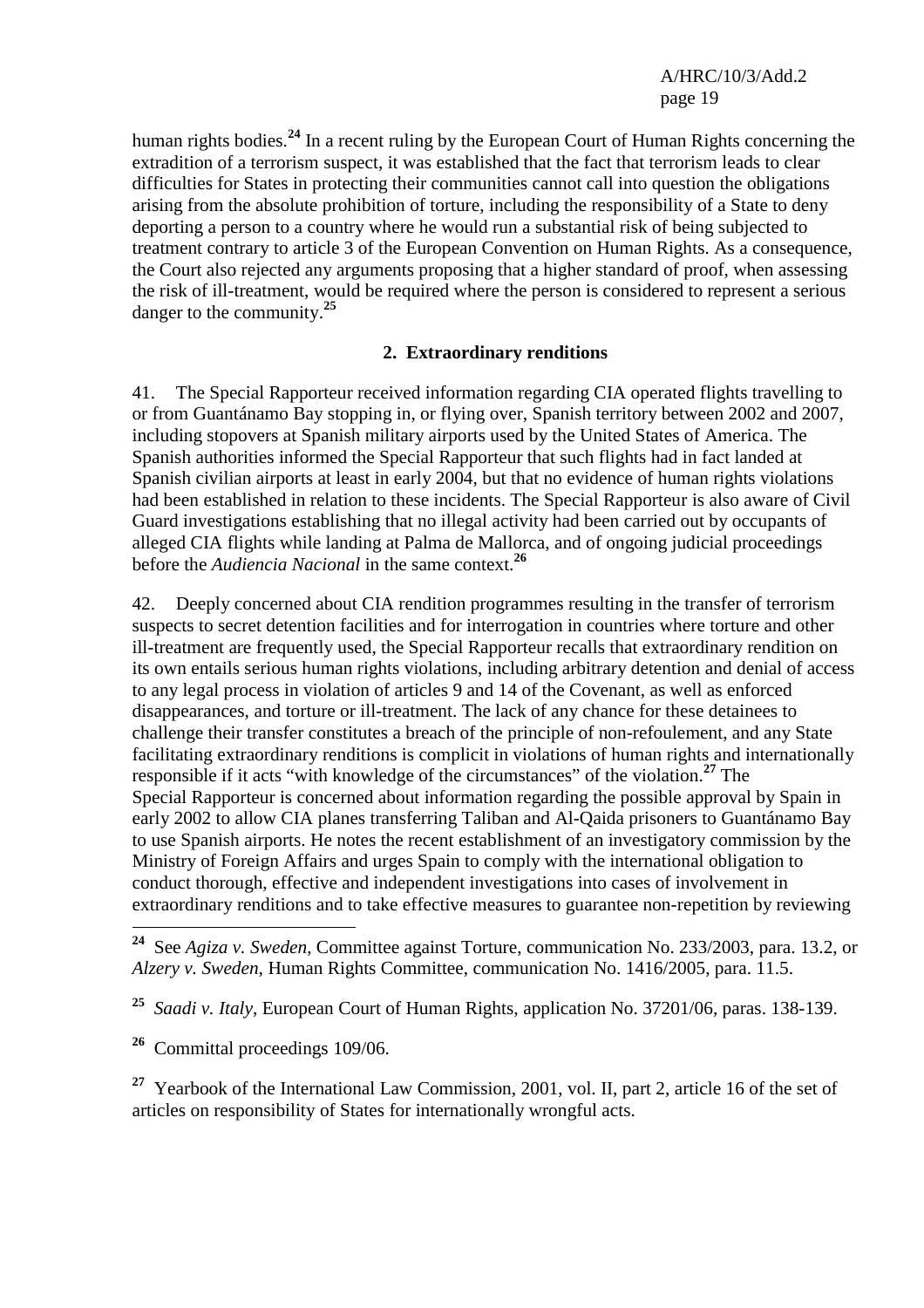human rights bodies.**<sup>24</sup>** In a recent ruling by the European Court of Human Rights concerning the extradition of a terrorism suspect, it was established that the fact that terrorism leads to clear difficulties for States in protecting their communities cannot call into question the obligations arising from the absolute prohibition of torture, including the responsibility of a State to deny deporting a person to a country where he would run a substantial risk of being subjected to treatment contrary to article 3 of the European Convention on Human Rights. As a consequence, the Court also rejected any arguments proposing that a higher standard of proof, when assessing the risk of ill-treatment, would be required where the person is considered to represent a serious danger to the community.**<sup>25</sup>**

## **2. Extraordinary renditions**

41. The Special Rapporteur received information regarding CIA operated flights travelling to or from Guantánamo Bay stopping in, or flying over, Spanish territory between 2002 and 2007, including stopovers at Spanish military airports used by the United States of America. The Spanish authorities informed the Special Rapporteur that such flights had in fact landed at Spanish civilian airports at least in early 2004, but that no evidence of human rights violations had been established in relation to these incidents. The Special Rapporteur is also aware of Civil Guard investigations establishing that no illegal activity had been carried out by occupants of alleged CIA flights while landing at Palma de Mallorca, and of ongoing judicial proceedings before the *Audiencia Nacional* in the same context.**<sup>26</sup>**

42. Deeply concerned about CIA rendition programmes resulting in the transfer of terrorism suspects to secret detention facilities and for interrogation in countries where torture and other ill-treatment are frequently used, the Special Rapporteur recalls that extraordinary rendition on its own entails serious human rights violations, including arbitrary detention and denial of access to any legal process in violation of articles 9 and 14 of the Covenant, as well as enforced disappearances, and torture or ill-treatment. The lack of any chance for these detainees to challenge their transfer constitutes a breach of the principle of non-refoulement, and any State facilitating extraordinary renditions is complicit in violations of human rights and internationally responsible if it acts "with knowledge of the circumstances" of the violation.**<sup>27</sup>** The Special Rapporteur is concerned about information regarding the possible approval by Spain in early 2002 to allow CIA planes transferring Taliban and Al-Qaida prisoners to Guantánamo Bay to use Spanish airports. He notes the recent establishment of an investigatory commission by the Ministry of Foreign Affairs and urges Spain to comply with the international obligation to conduct thorough, effective and independent investigations into cases of involvement in extraordinary renditions and to take effective measures to guarantee non-repetition by reviewing

 $\overline{a}$ 

<sup>27</sup> Yearbook of the International Law Commission, 2001, vol. II, part 2, article 16 of the set of articles on responsibility of States for internationally wrongful acts.

**<sup>24</sup>** See *Agiza v. Sweden*, Committee against Torture, communication No. 233/2003, para. 13.2, or *Alzery v. Sweden*, Human Rights Committee, communication No. 1416/2005, para. 11.5.

**<sup>25</sup>** *Saadi v. Italy*, European Court of Human Rights, application No. 37201/06, paras. 138-139.

**<sup>26</sup>** Committal proceedings 109/06.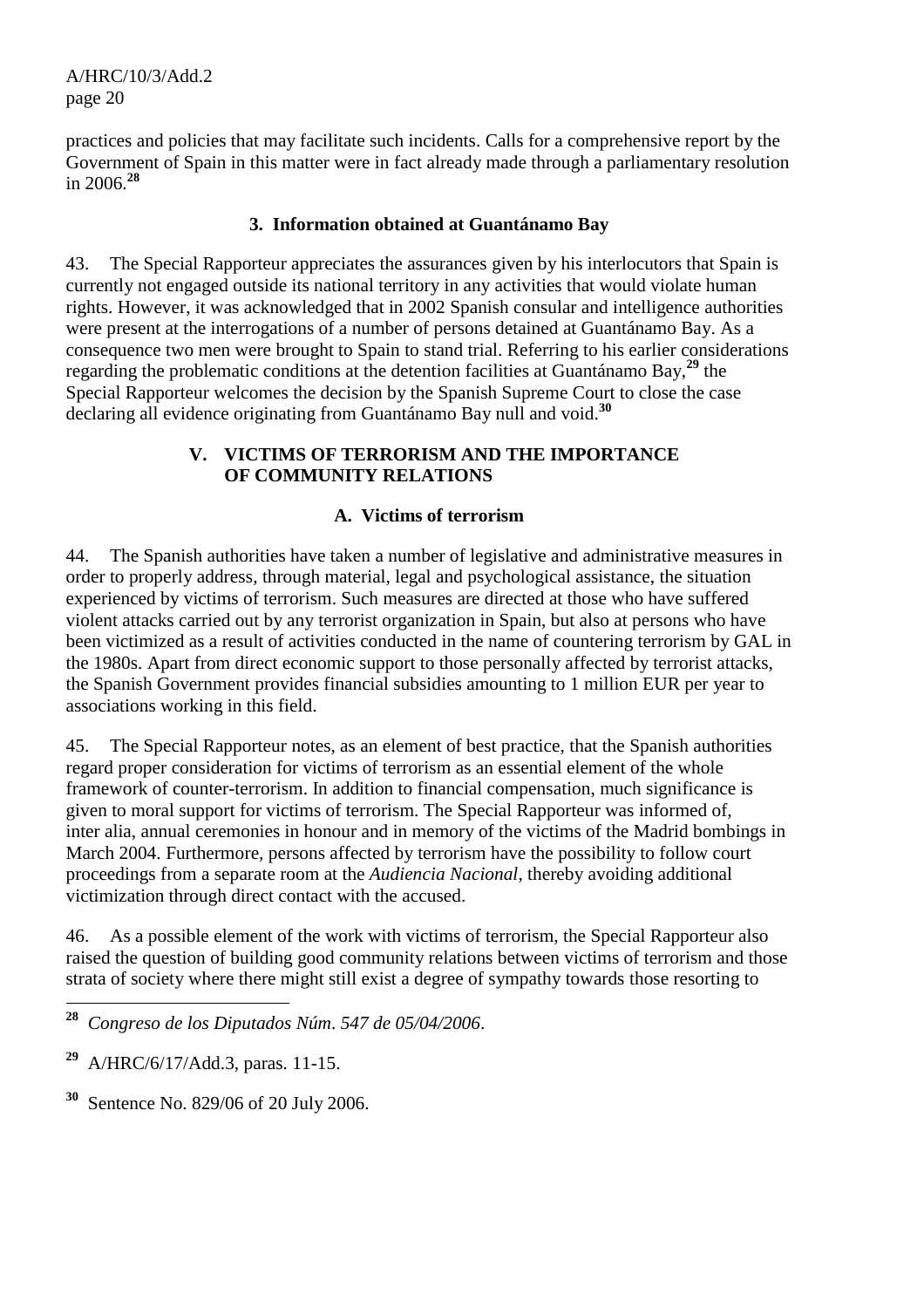practices and policies that may facilitate such incidents. Calls for a comprehensive report by the Government of Spain in this matter were in fact already made through a parliamentary resolution in 2006.**<sup>28</sup>**

## **3. Information obtained at Guantánamo Bay**

43. The Special Rapporteur appreciates the assurances given by his interlocutors that Spain is currently not engaged outside its national territory in any activities that would violate human rights. However, it was acknowledged that in 2002 Spanish consular and intelligence authorities were present at the interrogations of a number of persons detained at Guantánamo Bay. As a consequence two men were brought to Spain to stand trial. Referring to his earlier considerations regarding the problematic conditions at the detention facilities at Guantánamo Bay,**<sup>29</sup>** the Special Rapporteur welcomes the decision by the Spanish Supreme Court to close the case declaring all evidence originating from Guantánamo Bay null and void.**<sup>30</sup>**

# **V. VICTIMS OF TERRORISM AND THE IMPORTANCE OF COMMUNITY RELATIONS**

## **A. Victims of terrorism**

44. The Spanish authorities have taken a number of legislative and administrative measures in order to properly address, through material, legal and psychological assistance, the situation experienced by victims of terrorism. Such measures are directed at those who have suffered violent attacks carried out by any terrorist organization in Spain, but also at persons who have been victimized as a result of activities conducted in the name of countering terrorism by GAL in the 1980s. Apart from direct economic support to those personally affected by terrorist attacks, the Spanish Government provides financial subsidies amounting to 1 million EUR per year to associations working in this field.

45. The Special Rapporteur notes, as an element of best practice, that the Spanish authorities regard proper consideration for victims of terrorism as an essential element of the whole framework of counter-terrorism. In addition to financial compensation, much significance is given to moral support for victims of terrorism. The Special Rapporteur was informed of, inter alia, annual ceremonies in honour and in memory of the victims of the Madrid bombings in March 2004. Furthermore, persons affected by terrorism have the possibility to follow court proceedings from a separate room at the *Audiencia Nacional*, thereby avoiding additional victimization through direct contact with the accused.

46. As a possible element of the work with victims of terrorism, the Special Rapporteur also raised the question of building good community relations between victims of terrorism and those strata of society where there might still exist a degree of sympathy towards those resorting to

28 **<sup>28</sup>** *Congreso de los Diputados Núm*. *547 de 05/04/2006*.

**<sup>29</sup>** A/HRC/6/17/Add.3, paras. 11-15.

**<sup>30</sup>** Sentence No. 829/06 of 20 July 2006.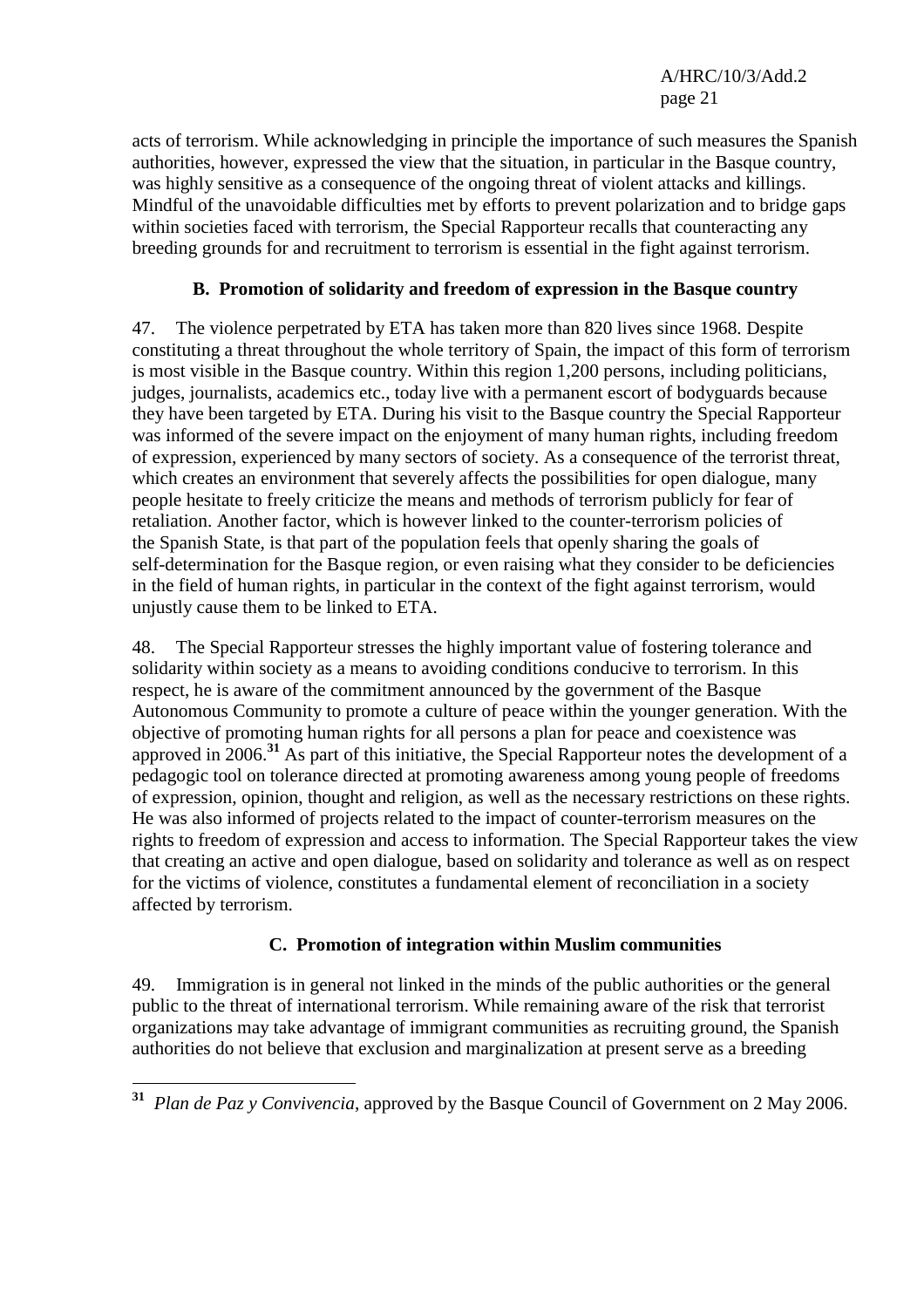acts of terrorism. While acknowledging in principle the importance of such measures the Spanish authorities, however, expressed the view that the situation, in particular in the Basque country, was highly sensitive as a consequence of the ongoing threat of violent attacks and killings. Mindful of the unavoidable difficulties met by efforts to prevent polarization and to bridge gaps within societies faced with terrorism, the Special Rapporteur recalls that counteracting any breeding grounds for and recruitment to terrorism is essential in the fight against terrorism.

# **B. Promotion of solidarity and freedom of expression in the Basque country**

47. The violence perpetrated by ETA has taken more than 820 lives since 1968. Despite constituting a threat throughout the whole territory of Spain, the impact of this form of terrorism is most visible in the Basque country. Within this region 1,200 persons, including politicians, judges, journalists, academics etc., today live with a permanent escort of bodyguards because they have been targeted by ETA. During his visit to the Basque country the Special Rapporteur was informed of the severe impact on the enjoyment of many human rights, including freedom of expression, experienced by many sectors of society. As a consequence of the terrorist threat, which creates an environment that severely affects the possibilities for open dialogue, many people hesitate to freely criticize the means and methods of terrorism publicly for fear of retaliation. Another factor, which is however linked to the counter-terrorism policies of the Spanish State, is that part of the population feels that openly sharing the goals of self-determination for the Basque region, or even raising what they consider to be deficiencies in the field of human rights, in particular in the context of the fight against terrorism, would unjustly cause them to be linked to ETA.

48. The Special Rapporteur stresses the highly important value of fostering tolerance and solidarity within society as a means to avoiding conditions conducive to terrorism. In this respect, he is aware of the commitment announced by the government of the Basque Autonomous Community to promote a culture of peace within the younger generation. With the objective of promoting human rights for all persons a plan for peace and coexistence was approved in 2006.**<sup>31</sup>** As part of this initiative, the Special Rapporteur notes the development of a pedagogic tool on tolerance directed at promoting awareness among young people of freedoms of expression, opinion, thought and religion, as well as the necessary restrictions on these rights. He was also informed of projects related to the impact of counter-terrorism measures on the rights to freedom of expression and access to information. The Special Rapporteur takes the view that creating an active and open dialogue, based on solidarity and tolerance as well as on respect for the victims of violence, constitutes a fundamental element of reconciliation in a society affected by terrorism.

## **C. Promotion of integration within Muslim communities**

49. Immigration is in general not linked in the minds of the public authorities or the general public to the threat of international terrorism. While remaining aware of the risk that terrorist organizations may take advantage of immigrant communities as recruiting ground, the Spanish authorities do not believe that exclusion and marginalization at present serve as a breeding

 $\overline{a}$ **<sup>31</sup>** *Plan de Paz y Convivencia*, approved by the Basque Council of Government on 2 May 2006.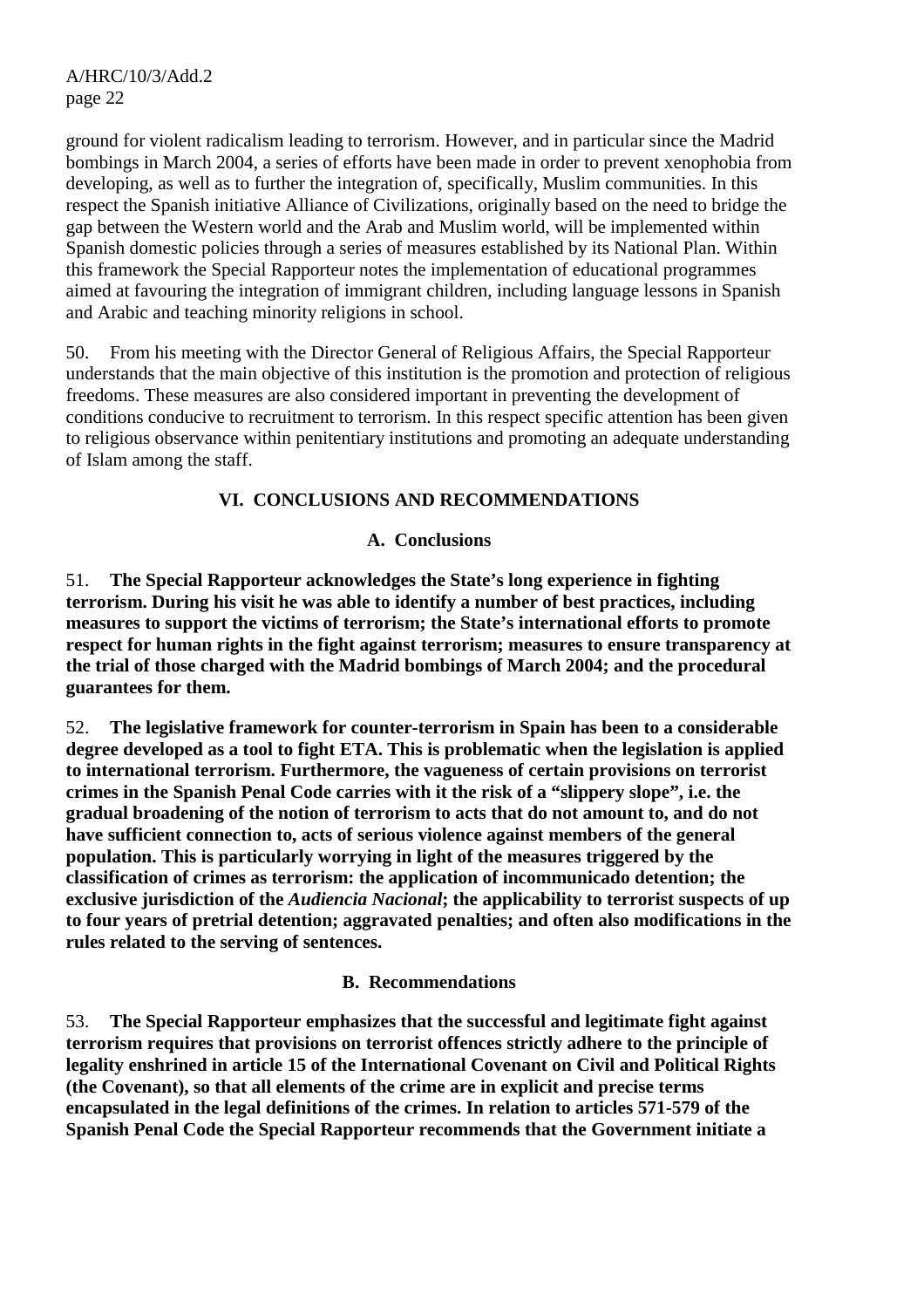ground for violent radicalism leading to terrorism. However, and in particular since the Madrid bombings in March 2004, a series of efforts have been made in order to prevent xenophobia from developing, as well as to further the integration of, specifically, Muslim communities. In this respect the Spanish initiative Alliance of Civilizations, originally based on the need to bridge the gap between the Western world and the Arab and Muslim world, will be implemented within Spanish domestic policies through a series of measures established by its National Plan. Within this framework the Special Rapporteur notes the implementation of educational programmes aimed at favouring the integration of immigrant children, including language lessons in Spanish and Arabic and teaching minority religions in school.

50. From his meeting with the Director General of Religious Affairs, the Special Rapporteur understands that the main objective of this institution is the promotion and protection of religious freedoms. These measures are also considered important in preventing the development of conditions conducive to recruitment to terrorism. In this respect specific attention has been given to religious observance within penitentiary institutions and promoting an adequate understanding of Islam among the staff.

## **VI. CONCLUSIONS AND RECOMMENDATIONS**

## **A. Conclusions**

51. **The Special Rapporteur acknowledges the State's long experience in fighting terrorism. During his visit he was able to identify a number of best practices, including measures to support the victims of terrorism; the State's international efforts to promote respect for human rights in the fight against terrorism; measures to ensure transparency at the trial of those charged with the Madrid bombings of March 2004; and the procedural guarantees for them.** 

52. **The legislative framework for counter-terrorism in Spain has been to a considerable degree developed as a tool to fight ETA. This is problematic when the legislation is applied to international terrorism. Furthermore, the vagueness of certain provisions on terrorist crimes in the Spanish Penal Code carries with it the risk of a "slippery slope", i.e. the gradual broadening of the notion of terrorism to acts that do not amount to, and do not have sufficient connection to, acts of serious violence against members of the general population. This is particularly worrying in light of the measures triggered by the classification of crimes as terrorism: the application of incommunicado detention; the exclusive jurisdiction of the** *Audiencia Nacional***; the applicability to terrorist suspects of up to four years of pretrial detention; aggravated penalties; and often also modifications in the rules related to the serving of sentences.** 

## **B. Recommendations**

53. **The Special Rapporteur emphasizes that the successful and legitimate fight against terrorism requires that provisions on terrorist offences strictly adhere to the principle of legality enshrined in article 15 of the International Covenant on Civil and Political Rights (the Covenant), so that all elements of the crime are in explicit and precise terms encapsulated in the legal definitions of the crimes. In relation to articles 571-579 of the Spanish Penal Code the Special Rapporteur recommends that the Government initiate a**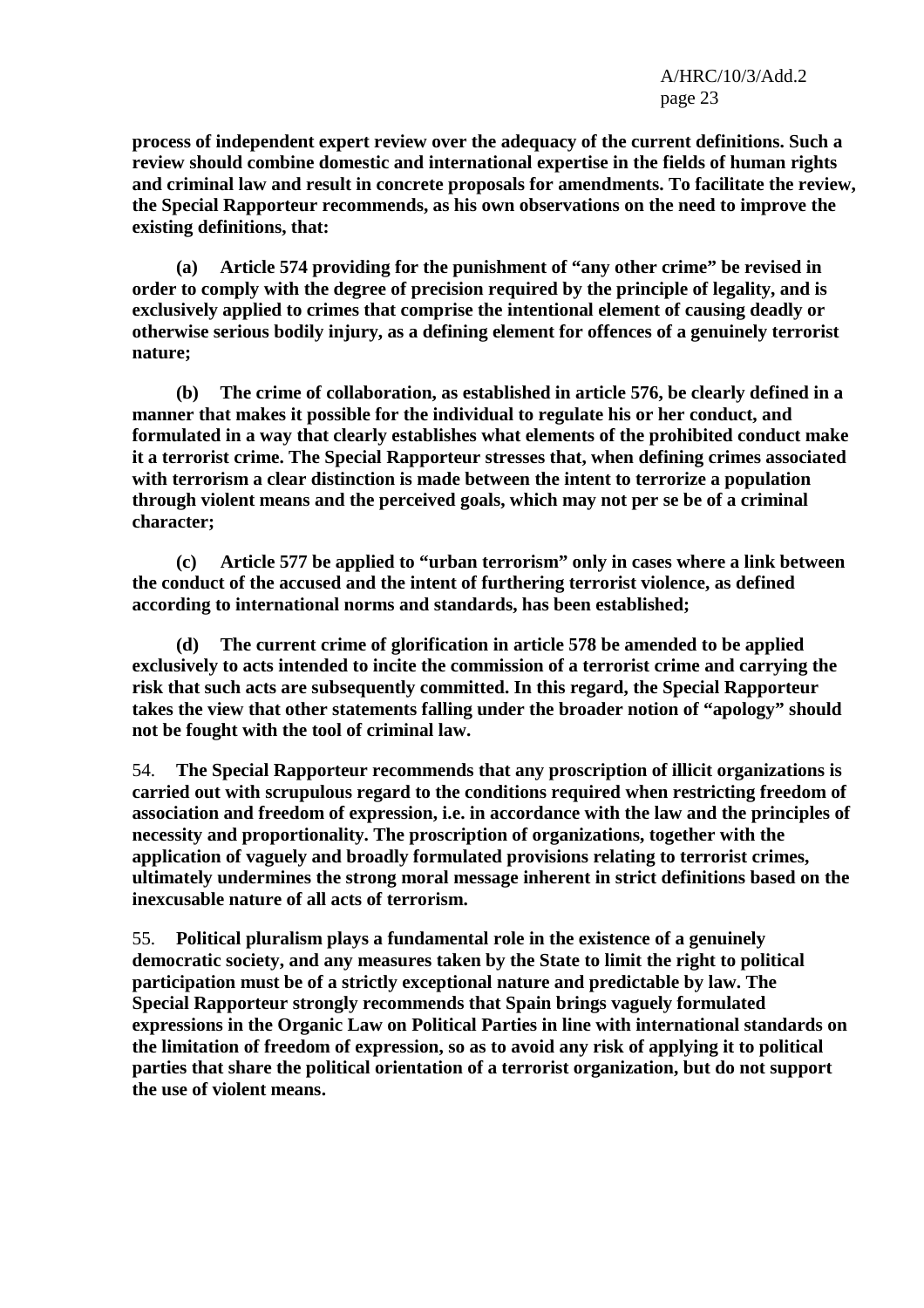**process of independent expert review over the adequacy of the current definitions. Such a review should combine domestic and international expertise in the fields of human rights and criminal law and result in concrete proposals for amendments. To facilitate the review, the Special Rapporteur recommends, as his own observations on the need to improve the existing definitions, that:** 

 **(a) Article 574 providing for the punishment of "any other crime" be revised in order to comply with the degree of precision required by the principle of legality, and is exclusively applied to crimes that comprise the intentional element of causing deadly or otherwise serious bodily injury, as a defining element for offences of a genuinely terrorist nature;** 

 **(b) The crime of collaboration, as established in article 576, be clearly defined in a manner that makes it possible for the individual to regulate his or her conduct, and formulated in a way that clearly establishes what elements of the prohibited conduct make it a terrorist crime. The Special Rapporteur stresses that, when defining crimes associated with terrorism a clear distinction is made between the intent to terrorize a population through violent means and the perceived goals, which may not per se be of a criminal character;** 

 **(c) Article 577 be applied to "urban terrorism" only in cases where a link between the conduct of the accused and the intent of furthering terrorist violence, as defined according to international norms and standards, has been established;** 

 **(d) The current crime of glorification in article 578 be amended to be applied exclusively to acts intended to incite the commission of a terrorist crime and carrying the risk that such acts are subsequently committed. In this regard, the Special Rapporteur takes the view that other statements falling under the broader notion of "apology" should not be fought with the tool of criminal law.** 

54. **The Special Rapporteur recommends that any proscription of illicit organizations is carried out with scrupulous regard to the conditions required when restricting freedom of association and freedom of expression, i.e. in accordance with the law and the principles of necessity and proportionality. The proscription of organizations, together with the application of vaguely and broadly formulated provisions relating to terrorist crimes, ultimately undermines the strong moral message inherent in strict definitions based on the inexcusable nature of all acts of terrorism.** 

55. **Political pluralism plays a fundamental role in the existence of a genuinely democratic society, and any measures taken by the State to limit the right to political participation must be of a strictly exceptional nature and predictable by law. The Special Rapporteur strongly recommends that Spain brings vaguely formulated expressions in the Organic Law on Political Parties in line with international standards on the limitation of freedom of expression, so as to avoid any risk of applying it to political parties that share the political orientation of a terrorist organization, but do not support the use of violent means.**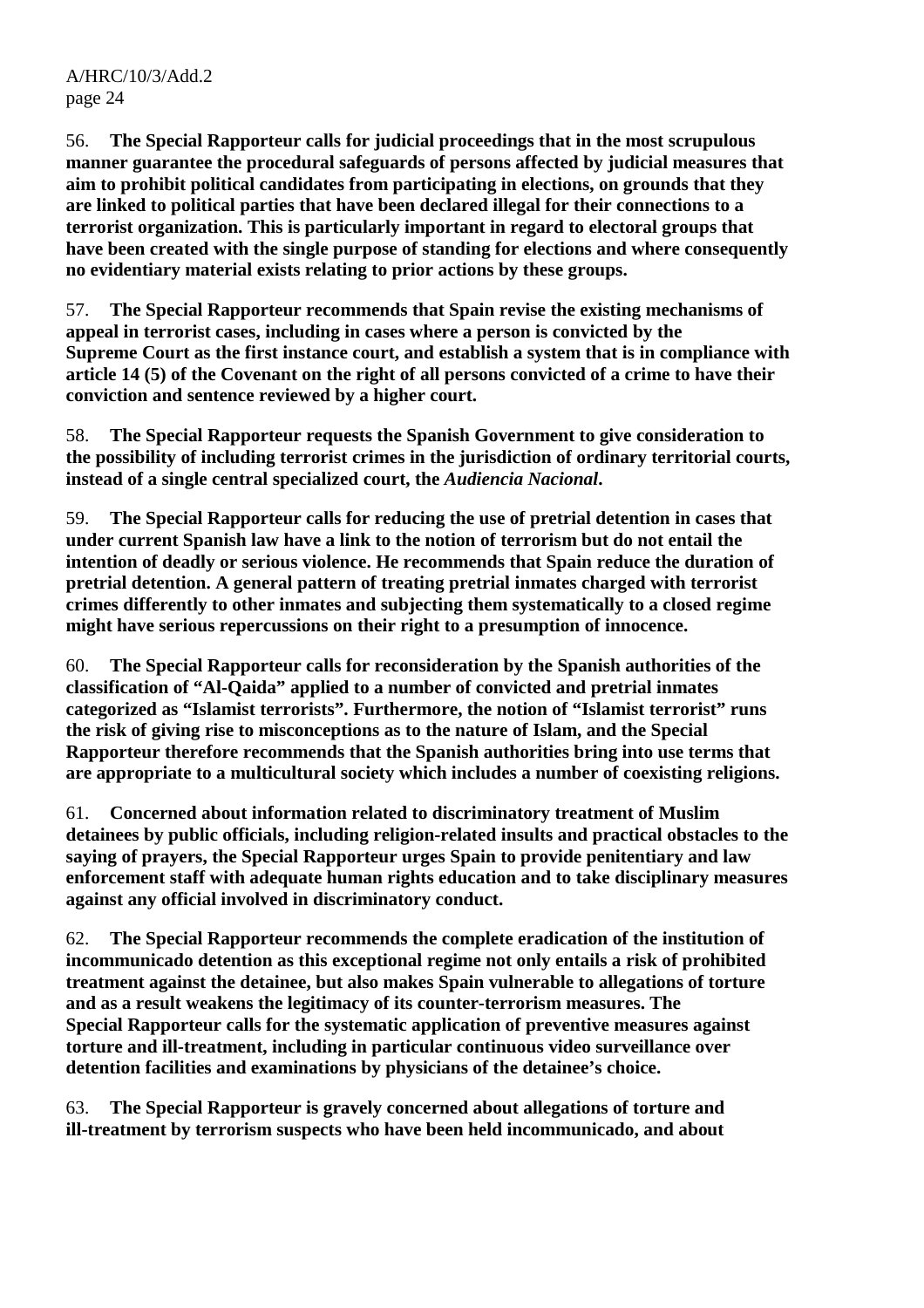56. **The Special Rapporteur calls for judicial proceedings that in the most scrupulous manner guarantee the procedural safeguards of persons affected by judicial measures that aim to prohibit political candidates from participating in elections, on grounds that they are linked to political parties that have been declared illegal for their connections to a terrorist organization. This is particularly important in regard to electoral groups that have been created with the single purpose of standing for elections and where consequently no evidentiary material exists relating to prior actions by these groups.** 

57. **The Special Rapporteur recommends that Spain revise the existing mechanisms of appeal in terrorist cases, including in cases where a person is convicted by the Supreme Court as the first instance court, and establish a system that is in compliance with article 14 (5) of the Covenant on the right of all persons convicted of a crime to have their conviction and sentence reviewed by a higher court.** 

58. **The Special Rapporteur requests the Spanish Government to give consideration to the possibility of including terrorist crimes in the jurisdiction of ordinary territorial courts, instead of a single central specialized court, the** *Audiencia Nacional***.** 

59. **The Special Rapporteur calls for reducing the use of pretrial detention in cases that under current Spanish law have a link to the notion of terrorism but do not entail the intention of deadly or serious violence. He recommends that Spain reduce the duration of pretrial detention. A general pattern of treating pretrial inmates charged with terrorist crimes differently to other inmates and subjecting them systematically to a closed regime might have serious repercussions on their right to a presumption of innocence.** 

60. **The Special Rapporteur calls for reconsideration by the Spanish authorities of the classification of "Al-Qaida" applied to a number of convicted and pretrial inmates categorized as "Islamist terrorists". Furthermore, the notion of "Islamist terrorist" runs the risk of giving rise to misconceptions as to the nature of Islam, and the Special Rapporteur therefore recommends that the Spanish authorities bring into use terms that are appropriate to a multicultural society which includes a number of coexisting religions.** 

61. **Concerned about information related to discriminatory treatment of Muslim detainees by public officials, including religion-related insults and practical obstacles to the saying of prayers, the Special Rapporteur urges Spain to provide penitentiary and law enforcement staff with adequate human rights education and to take disciplinary measures against any official involved in discriminatory conduct.** 

62. **The Special Rapporteur recommends the complete eradication of the institution of incommunicado detention as this exceptional regime not only entails a risk of prohibited treatment against the detainee, but also makes Spain vulnerable to allegations of torture and as a result weakens the legitimacy of its counter-terrorism measures. The Special Rapporteur calls for the systematic application of preventive measures against torture and ill-treatment, including in particular continuous video surveillance over detention facilities and examinations by physicians of the detainee's choice.** 

63. **The Special Rapporteur is gravely concerned about allegations of torture and ill-treatment by terrorism suspects who have been held incommunicado, and about**